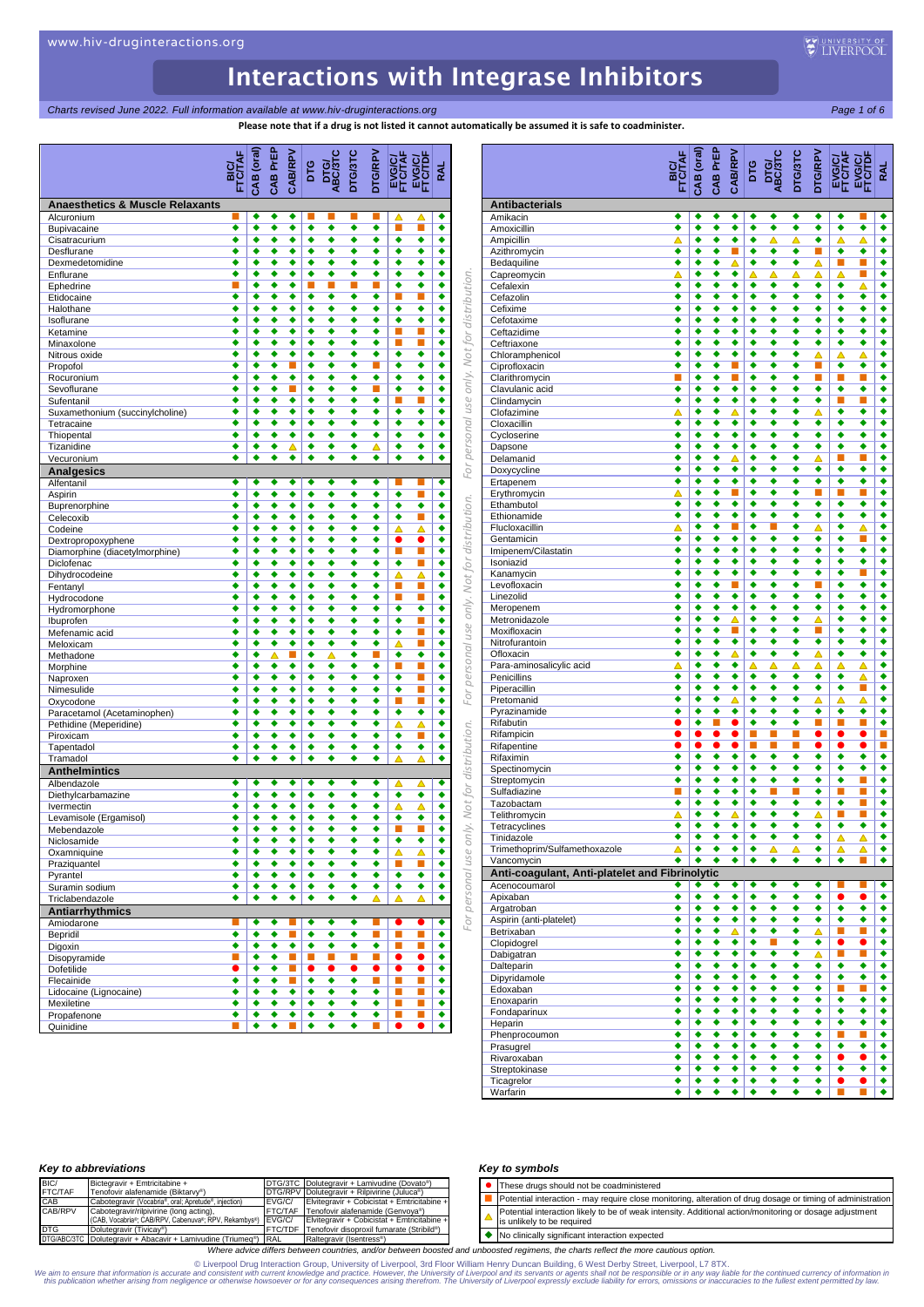*Charts revised June 2022. Full information available at www.hiv-druginteractions.org Page 1 of 6*

**Please note that if a drug is not listed it cannot automatically be assumed it is safe to coadminister.**

UNIVERSITY OF

|                                               | FTC/TAF        | CAB (oral)           | CAB PrEP | CAB/RPV       | bю                   | <b>DTG/</b><br>ABC/3TC | <b>PLE/SLO</b>       | <b>DTG/RPV</b>       | EVG/C/<br>FTC/TAF | EVG/C/<br>TC/TDF            | RAL                  |
|-----------------------------------------------|----------------|----------------------|----------|---------------|----------------------|------------------------|----------------------|----------------------|-------------------|-----------------------------|----------------------|
|                                               |                |                      |          |               |                      |                        |                      |                      |                   |                             |                      |
| <b>Anaesthetics &amp; Muscle Relaxants</b>    |                |                      |          | ٠             | ■                    |                        | П                    | п                    |                   |                             |                      |
| Alcuronium<br>Bupivacaine                     | ٠              | ٠<br>٠               | ٠<br>٠   | ٠             | ٠                    | ٠                      | ٠                    | ٠                    | Δ<br>П            | Δ<br>г                      | ٠<br>٠               |
| Cisatracurium                                 | ٠              | ٠                    | ٠        | ٠             | ٠                    | ٠                      | ٠                    | ٠                    | ٠                 | ٠                           | ٠                    |
| Desflurane                                    | ٠              | ٠                    | ٠        | ٠             | ٠                    | ٠                      | ٠                    | ٠                    | ◆                 | ٠                           | ٠                    |
| Dexmedetomidine                               | ٠              | ٠                    | ٠        | ٠             | ٠                    | ٠                      | ٠                    | ٠                    | ٠                 | ٠                           | ٠                    |
| Enflurane<br>Ephedrine                        | ٠<br>▬         | ٠<br>٠               | ٠<br>٠   | ٠<br>٠        | ٠<br>п               | ٠<br>п                 | ٠<br>П               | ٠<br>п               | ٠<br>٠            | ٠<br>٠                      | ٠<br>٠               |
| Etidocaine                                    | ٠              | ◆                    | ٠        | ٠             | ٠                    | ٠                      | $\overline{\bullet}$ | ٠                    | П                 | п                           | ٠                    |
| Halothane                                     | ٠              | ٠                    | ٠        | ٠             | ٠                    | ٠                      | ٠                    | ٠                    | ٠                 | ٠                           | ٠                    |
| Isoflurane                                    | ٠              | ٠                    | ٠        | ٠             | ٠                    | ٠                      | ٠                    | ٠                    | ٠                 | ٠                           | ٠                    |
| Ketamine                                      | ٠              | ٠                    | ٠        | ٠             | ٠                    | ٠                      | ٠                    | ٠                    | п<br>П            | П                           | ٠                    |
| Minaxolone<br>Nitrous oxide                   | ٠<br>٠         | ٠<br>٠               | ٠<br>٠   | ٠<br>٠        | ٠<br>٠               | ٠<br>٠                 | ٠<br>٠               | ٠<br>٠               | ٠                 | п<br>٠                      | ٠<br>٠               |
| Propofol                                      | ٠              | ٠                    | ٠        | п             | ٠                    | ٠                      | ٠                    | п                    | ٠                 | ٠                           | ٠                    |
| Rocuronium                                    | ٠              | ٠                    | ٠        | ٠             | ٠                    | ٠                      | ٠                    | ٠                    | ٠                 | ٠                           | ٠                    |
| Sevoflurane                                   | ٠              | ٠                    | ٠        | п             | $\overline{\bullet}$ | $\overline{\bullet}$   | ◆                    | п                    | ◆                 | ٠                           | ٠                    |
| Sufentanil                                    | ٠              | ٠                    | ٠        | ٠             | ٠                    | ٠                      | ٠                    | ٠                    | П                 | П                           | ٠                    |
| Suxamethonium (succinylcholine)<br>Tetracaine | ٠<br>٠         | ٠<br>٠               | ٠<br>٠   | ٠<br>٠        | ٠<br>٠               | ٠<br>٠                 | ٠<br>٠               | ٠<br>٠               | ٠<br>٠            | ٠<br>٠                      | ٠<br>٠               |
| Thiopental                                    | ٠              | ٠                    | ٠        | ٠             | ٠                    | ٠                      | ٠                    | ٠                    | ٠                 | ٠                           | ٠                    |
| Tizanidine                                    | ٠              | ٠                    | ٠        | Δ             | ٠                    | ٠                      | ٠                    | Δ                    | ٠                 | ٠                           | ٠                    |
| Vecuronium                                    | ٠              | ٠                    | ٠        | ٠             | ٠                    | ٠                      | ٠                    | ٠                    | ٠                 | ٠                           | ٠                    |
| <b>Analgesics</b>                             |                |                      |          |               |                      |                        |                      |                      |                   |                             |                      |
| Alfentanil<br>Aspirin                         | ٠<br>٠         | ٠<br>٠               | ٠<br>٠   | ٠<br>٠        | ٠<br>٠               | ٠<br>٠                 | ٠<br>٠               | ٠<br>٠               | ш<br>٠            | п<br>П                      | ٠<br>٠               |
| Buprenorphine                                 | ٠              | ٠                    | ٠        | ٠             | ٠                    | ٠                      | ٠                    | ٠                    | ٠                 | ٠                           | ٠                    |
| Celecoxib                                     | ٠              | ٠                    | ٠        | ٠             | ٠                    | ٠                      | ٠                    | ٠                    | ٠                 | ш                           | ٠                    |
| Codeine                                       | ٠              | ٠                    | ٠        | ٠             | $\overline{\bullet}$ | $\overline{\bullet}$   | ٠                    | ٠                    | Δ                 | Δ                           | ٠                    |
| Dextropropoxyphene                            | ٠              | ٠                    | ٠        | ٠             | ٠                    | ٠                      | ٠                    | ٠                    | $\bullet$         | $\bullet$                   | ٠                    |
| Diamorphine (diacetylmorphine)                | ٠<br>٠         | ٠                    | ٠<br>٠   | ٠<br>٠        | ٠<br>٠               | ٠<br>٠                 | ٠<br>٠               | ٠<br>٠               | П<br>٠            | п<br>П                      | ٠                    |
| Diclofenac<br>Dihydrocodeine                  | ٠              | ٠<br>٠               | ٠        | ٠             | ٠                    | ٠                      | ٠                    | ٠                    | Δ                 | Δ                           | ٠<br>٠               |
| Fentanyl                                      | ٠              | ٠                    | ٠        | ٠             | ٠                    | ٠                      | ٠                    | ٠                    | õ                 | í                           | ٠                    |
| Hydrocodone                                   | ٠              | ٠                    | ٠        | ٠             | ٠                    | ٠                      | ٠                    | ٠                    | П                 | п                           | ٠                    |
| Hydromorphone                                 | ٠              | ◆                    | ٠        | ٠             | ٠                    | ٠                      | ٠                    | $\overline{\bullet}$ | ٠                 | $\overline{\bullet}$        | $\overline{\bullet}$ |
| Ibuprofen                                     | ٠<br>٠         | ◆<br>٠               | ٠<br>٠   | ٠<br>٠        | ٠<br>٠               | ٠<br>٠                 | ٠<br>٠               | ٠<br>٠               | ◆<br>٠            | П<br>п                      | ٠<br>٠               |
| Mefenamic acid<br>Meloxicam                   | ٠              | ٠                    | ٠        | ٠             | ٠                    | ٠                      | ٠                    | ٠                    | Δ                 | п                           | ٠                    |
| Methadone                                     | ٠              | ٠                    | Δ        | п             | ٠                    | Δ                      | ٠                    | п                    | ٠                 | ٠                           | ٠                    |
| Morphine                                      | ٠              | ٠                    | ٠        | ٠             | ٠                    | ٠                      | ٠                    | ٠                    | п                 | r.                          | ٠                    |
| Naproxen                                      | ٠              | ٠                    | ٠        | ٠             | ٠                    | ٠                      | ٠                    | ٠                    | ٠                 | п                           | ٠                    |
| Nimesulide<br>Oxycodone                       | ٠              | ٠<br>٠               | ٠<br>٠   | ٠<br>٠        | ٠<br>٠               | ٠<br>٠                 | ٠<br>٠               | ٠<br>٠               | ٠<br>п            | П<br>п                      | ٠<br>٠               |
| Paracetamol (Acetaminophen)                   | ٠              | ٠                    | ٠        | ٠             | ٠                    | ٠                      | ٠                    | ٠                    | ٠                 | ٠                           | ٠                    |
| Pethidine (Meperidine)                        | ٠              | ٠                    | ٠        | ٠             | ٠                    | ٠                      | ٠                    | ٠                    | Δ                 | Δ                           | ٠                    |
| Piroxicam                                     | ٠              | ٠                    | ٠        | ٠             | ٠                    | ٠                      | ٠                    | ٠                    | ٠                 | Г                           | ٠                    |
| Tapentadol                                    | ٠<br>٠         | ٠<br>٠               | ٠<br>٠   | ٠<br>٠        | ٠<br>٠               | ٠<br>٠                 | ٠<br>٠               | ٠<br>٠               | ٠                 | ٠                           | ٠<br>٠               |
| Tramadol<br><b>Anthelmintics</b>              |                |                      |          |               |                      |                        |                      |                      | Δ                 | Δ                           |                      |
| Albendazole                                   | ٠              | ٠                    | ٠        | ٠             | ٠                    | ٠                      | ٠                    | ٠                    | Δ                 | Δ                           | ٠                    |
| Diethylcarbamazine                            | ٠              | ٠                    | ٠        | ٠             | ٠                    | ٠                      | ٠                    | ٠                    | ٠                 | ٠                           | ٠                    |
| Ivermectin                                    | ٠              | ٠                    | ٠        | ٠             | ٠                    | ٠                      | ٠                    | ٠                    | Δ                 | Δ                           | ٠                    |
| Levamisole (Ergamisol)                        | ٠              | ٠                    | ٠        | ٠             | ٠                    | ٠                      | ٠                    | ٠                    | ٠                 | ٠                           | ٠                    |
| Mebendazole<br>Niclosamide                    | ٠<br>٠         | ٠<br>٠               | ٠<br>٠   | ٠<br>٠        | ٠<br>٠               | ٠<br>٠                 | ٠<br>٠               | ٠<br>٠               | ٠                 | ٠                           | ٠<br>٠               |
| Oxamniquine                                   | ٠              | ٠                    | ٠        | ٠             | ٠                    | ٠                      | ٠                    | ٠                    | Δ                 | Δ                           | ٠                    |
| Praziquantel                                  | ٠              | ٠                    | ٠        | ٠             | ٠                    | ٠                      | ٠                    | ٠                    | L.                | $\mathcal{L}_{\mathcal{A}}$ | ٠                    |
| Pyrantel                                      | ٠              | ٠                    | ٠        | ٠             | ٠                    | ٠                      | ٠                    | ٠                    | ٠                 | ٠                           | ٠                    |
| Suramin sodium                                | ٠              | ٠                    | ٠        | ٠             | ٠                    | ٠                      | ٠                    | ٠                    | ٠                 | ٠                           | ٠                    |
| Triclabendazole<br>Antiarrhythmics            | ٠              | ٠                    | ٠        | ٠             | ٠                    | ٠                      | ٠                    | Δ                    | Δ                 | Δ                           | ٠                    |
| Amiodarone                                    | п              | ٠                    | ٠        | п             | ٠                    | ٠                      | ٠                    | п                    | $\bullet$         | $\bullet$                   | ٠                    |
| Bepridil                                      | ٠              | $\overline{\bullet}$ | ٠        | <b>I</b>      | ٠                    | ٠                      | ٠                    | n                    | E.                | П                           | ٠                    |
| Digoxin                                       | ٠              | ٠                    | ٠        | ٠             | ٠                    | ٠                      | ٠                    | ٠                    | u.                | п                           | ٠                    |
| Disopyramide                                  | п              | ٠                    | ٠        | п             | $\mathbb{R}^n$       | $\mathbb{R}^n$         | П                    | Т.                   | $\bullet$         | $\bullet$                   | ٠                    |
| Dofetilide<br>Flecainide                      | $\bullet$<br>٠ | ٠<br>٠               | ٠<br>٠   | <b>I</b><br>п | $\bullet$<br>٠       | $\bullet$<br>٠         | $\bullet$<br>٠       | $\bullet$<br>п       | $\bullet$<br>L.   | $\bullet$<br>п              | ٠<br>٠               |
| Lidocaine (Lignocaine)                        | ٠              | ٠                    | ٠        | ٠             | ٠                    | ٠                      | ٠                    | ٠                    | u.                | $\mathcal{L}_{\mathcal{A}}$ | ٠                    |
| Mexiletine                                    | ٠              | ٠                    | ٠        | ٠             | ٠                    | ٠                      | ٠                    | ٠                    | L.                | п                           | ٠                    |
| Propafenone                                   | ٠              | ٠                    | ٠        | ٠             | ٠                    | ٠                      | ٠                    | ٠                    | П                 | п                           | ٠                    |
| Quinidine                                     |                | ٠                    | ٠        |               | ٠                    | ٠                      | ٠                    | ▬                    | $\bullet$         | $\bullet$                   | ٠                    |

|                                                |                | CAB (oral) | CAB PrEP  | CAB/RPV              | bтG                  | <b>DTG/</b><br>ABC/3TC | <b>DTG/3TC</b> | <b>DTG/RPV</b>       | <b>EVG/C/</b><br>FTC/TAF | EVG/C/<br>FTC/TDF    | RAL                                          |
|------------------------------------------------|----------------|------------|-----------|----------------------|----------------------|------------------------|----------------|----------------------|--------------------------|----------------------|----------------------------------------------|
| Antibacterials                                 |                |            |           |                      |                      |                        |                |                      |                          |                      |                                              |
| Amikacin<br>Amoxicillin                        | ٠<br>٠         | ٠<br>٠     | ٠<br>٠    | ٠<br>٠               | ٠<br>٠               | ٠<br>٠                 | ٠<br>٠         | ٠<br>٠               | ٠<br>٠                   | ٠                    | ٠<br>٠                                       |
| Ampicillin                                     | Δ              | ٠          | ٠         | ٠                    | ٠                    | Δ                      | Δ              | ٠                    | Δ                        | Δ                    | ٠                                            |
| Azithromycin                                   | ٠              | ٠          | ٠         | п                    | ٠                    | ٠                      | ٠              | п                    | ٠                        | ٠                    | ٠                                            |
| Bedaquiline                                    | ٠              | ٠          | ٠         | Δ                    | ٠                    | ٠                      | ٠              | Δ                    | П                        | i.                   | ٠                                            |
| Capreomycin<br>Cefalexin                       | △<br>٠         | ٠<br>٠     | ٠<br>٠    | ٠<br>٠               | ▵<br>٠               | ᅀ<br>٠                 | △<br>٠         | Δ<br>٠               | ᅀ<br>٠                   | п<br>Δ               | ٠<br>٠                                       |
| Cefazolin                                      | ٠              | ٠          | ٠         | ٠                    | ٠                    | ٠                      | ٠              | ٠                    | ٠                        | ٠                    | ٠                                            |
| Cefixime                                       | ٠              |            | ٠         | ٠                    | ٠                    | ٠                      | ٠              | ٠                    | ٠                        | ٠                    | ٠                                            |
| Cefotaxime                                     | ٠              | ٠          | ٠<br>٠    | ٠<br>٠               | ٠                    | ٠                      | ٠              | ٠                    | ٠                        | ٠                    | ◆                                            |
| Ceftazidime<br>Ceftriaxone                     | ٠<br>٠         | ٠          | ٠         | ٠                    | ٠<br>٠               | ٠<br>٠                 | ٠<br>٠         | ٠<br>٠               | ٠<br>٠                   | ٠<br>٠               | ٠<br>٠                                       |
| Chloramphenicol                                | ٠              | ٠          | ٠         | ٠                    | ٠                    | ٠                      | ٠              | Δ                    | Δ                        | Δ                    | ٠                                            |
| Ciprofloxacin                                  | ٠              | ٠          | ٠         | П                    | ٠                    | ٠                      | ٠              | П                    | ٠                        | ٠                    | ٠                                            |
| Clarithromycin                                 | П              | ٠          | ٠         | П                    | ٠                    | ٠                      | ٠              | п                    | п                        | п                    | ٠                                            |
| Clavulanic acid<br>Clindamycin                 | ٠<br>٠         | ٠<br>٠     | ٠<br>٠    | ٠<br>٠               | ٠<br>٠               | ٠<br>٠                 | ٠<br>٠         | ٠<br>٠               | ٠<br>п                   | ٠<br>п               | ٠<br>٠                                       |
| Clofazimine                                    | Δ              | ٠          | ٠         | Δ                    | ٠                    | ٠                      | ٠              | Δ                    | ٠                        | ٠                    | ٠                                            |
| Cloxacillin                                    | ٠              | ٠          | ٠         | ٠                    | ٠                    | ٠                      | ٠              | ٠                    | ٠                        | ٠                    | ٠                                            |
| Cycloserine                                    | ٠              | ٠          | ٠         | ٠                    | $\overline{\bullet}$ | ٠                      | ٠              | $\overline{\bullet}$ | ٠                        | $\overline{\bullet}$ | $\overline{\bullet}$                         |
| Dapsone                                        | ٠              | ٠          | ٠         | ٠                    | ٠                    | ٠                      | ٠              | ٠                    | ٠                        | ٠<br>i.              | ٠                                            |
| Delamanid<br>Doxycycline                       | ٠<br>٠         | ٠<br>٠     | ٠<br>٠    | Δ<br>٠               | ٠<br>٠               | ٠<br>٠                 | ٠<br>٠         | Δ<br>٠               | п<br>٠                   | ٠                    | ٠<br>٠                                       |
| Ertapenem                                      | ٠              | ٠          | ٠         | ٠                    | ٠                    | ٠                      | ٠              | ٠                    | ٠                        | ٠                    | ٠                                            |
| Erythromycin                                   | △              | ٠          | ٠         | П                    | ٠                    | ٠                      | ٠              | п                    | ■                        | п                    | ٠                                            |
| Ethambutol                                     | ٠              | ٠          | ٠         | $\overline{\bullet}$ | ٠                    | ٠                      | ٠              | ٠                    | ٠                        | ٠                    | ٠                                            |
| Ethionamide                                    | ٠<br>Δ         |            | ٠         | ٠<br>П               | ٠                    | ٠<br>п                 | ٠<br>٠         | ٠<br>Δ               | ٠                        | ٠<br>Δ               | ◆<br>٠                                       |
| Flucloxacillin<br>Gentamicin                   | ٠              | ٠          | ٠<br>٠    | ٠                    | ٠<br>٠               | ٠                      | ٠              | ٠                    | ٠<br>٠                   | D.                   | ٠                                            |
| Imipenem/Cilastatin                            | ٠              |            | ٠         | ٠                    | ٠                    | ٠                      | ٠              | ٠                    | ٠                        | ٠                    | ٠                                            |
| Isoniazid                                      | ٠              | ٠          | ٠         | ٠                    | ٠                    | ٠                      | ٠              | ٠                    | ٠                        | ٠                    | ٠                                            |
| Kanamycin                                      | ٠              | ٠          | ٠         | ٠                    | ٠                    | ٠                      | ٠              | ٠                    | ٠                        | п                    | ٠                                            |
| Levofloxacin<br>Linezolid                      | ٠<br>٠         | ٠<br>٠     | ٠<br>٠    | П<br>٠               | ٠<br>٠               | ٠<br>٠                 | ٠<br>٠         | п<br>٠               | ٠<br>٠                   | ٠<br>٠               | ٠<br>٠                                       |
| Meropenem                                      | ٠              | ٠          | ٠         | ٠                    | ٠                    | ٠                      | ٠              | ٠                    | ٠                        | ٠                    | ٠                                            |
| Metronidazole                                  | ٠              | ٠          | ٠         | ᅀ                    | ٠                    | ٠                      | ٠              | Δ                    | ٠                        | ٠                    | ٠                                            |
| Moxifloxacin                                   | ٠              | ٠          | ٠         | П                    | ٠                    | ٠                      | ٠              | п                    | ٠                        | ٠                    | ٠                                            |
| Nitrofurantoin                                 | ٠<br>٠         | ٠<br>٠     | ٠<br>٠    | ٠<br>▵               | ٠<br>٠               | ٠<br>٠                 | ٠<br>٠         | ٠<br>Δ               | ٠<br>٠                   | ٠<br>٠               | ٠<br>٠                                       |
| Ofloxacin<br>Para-aminosalicylic acid          | △              | ٠          | ٠         | ٠                    | ▵                    | △                      | △              | ▵                    | △                        | ▵                    | ٠                                            |
| Penicillins                                    | ٠              | ٠          | ٠         | ٠                    | ٠                    | ٠                      | ٠              | ٠                    | ٠                        | Δ                    | ٠                                            |
| Piperacillin                                   | ٠              | ٠          | ٠         | ٠                    | ٠                    | ٠                      | ٠              | ٠                    | ٠                        | D.                   | ٠                                            |
| Pretomanid                                     | ٠              |            | ٠         | Δ                    | ٠                    | ٠                      | ٠              | Δ                    | Δ                        | Δ                    | ٠                                            |
| Pyrazinamide<br>Rifabutin                      | ٠<br>$\bullet$ | ٠          | ٠<br>П    | ٠<br>$\bullet$       | ٠<br>٠               | ٠<br>٠                 | ٠<br>٠         | ٠<br>i.              | ٠<br>П                   | ٠<br>×               | ٠<br>٠                                       |
| Rifampicin                                     | $\bullet$      |            |           | $\bullet$            | п                    | п                      | П              |                      |                          |                      | П                                            |
| Rifapentine                                    | $\bullet$      | $\bullet$  | $\bullet$ | $\bullet$            | п                    | п                      | П              | $\bullet$            | $\bullet$                | $\bullet$            | П                                            |
| Rifaximin                                      | ٠              | ٠          | ٠         | ٠                    | ٠                    | ٠                      | ٠              | ٠                    | ٠                        | ٠                    | ٠                                            |
| Spectinomycin                                  | ٠<br>٠         | ٠<br>٠     | ٠<br>٠    | ٠<br>٠               | ٠<br>٠               | ٠<br>٠                 | ٠<br>٠         | ٠<br>٠               | ٠<br>٠                   | ٠<br>п               | $\overline{\bullet}$<br>$\overline{\bullet}$ |
| Streptomycin<br>Sulfadiazine                   | П              | ٠          | ٠         | ٠                    | ٠                    | п                      | П              | ٠                    | п                        | п                    | ٠                                            |
| Tazobactam                                     | ٠              | ٠          | ٠         | ٠                    | ٠                    | ٠                      | ٠              | ٠                    | ٠                        | п                    | ٠                                            |
| Telithromycin                                  | △              | ٠          | ٠         | Δ                    | ٠                    | ٠                      | ٠              | ▵                    | п                        | m.                   | ٠                                            |
| Tetracyclines                                  | ٠              | ٠          | ٠         | ٠                    | ٠                    | ٠                      | ٠              | ٠                    | ٠                        | ٠                    | ٠                                            |
| Tinidazole<br>Trimethoprim/Sulfamethoxazole    | ٠<br>Δ         | ٠<br>٠     | ٠<br>٠    | ٠<br>٠               | ٠<br>٠               | ٠<br>Δ                 | ٠<br>Δ         | ٠<br>٠               | Δ                        | Δ                    | ٠<br>٠                                       |
| Vancomycin                                     | ٠              | ٠          | ٠         | ٠                    | ٠                    | ٠                      | ٠              | ٠                    | ٠                        |                      | ٠                                            |
| Anti-coagulant, Anti-platelet and Fibrinolytic |                |            |           |                      |                      |                        |                |                      |                          |                      |                                              |
| Acenocoumarol                                  | ٠              | ٠          | ٠         | ٠                    | ٠                    | ٠                      | ٠              | ٠                    | ▄                        | П                    | ٠                                            |
| Apixaban                                       | ٠              | ٠          | ٠         | ٠                    | ٠                    | ٠                      | ٠              | ٠                    | $\bullet$                | $\bullet$            | ٠                                            |
| Argatroban<br>Aspirin (anti-platelet)          | ٠<br>٠         | ٠<br>٠     | ٠<br>٠    | ٠<br>٠               | ٠<br>٠               | ٠<br>٠                 | ٠<br>٠         | ٠<br>٠               | ٠<br>٠                   | ٠<br>٠               | ٠<br>٠                                       |
| Betrixaban                                     | ٠              | ٠          | ٠         | ᅀ                    | ٠                    | ٠                      | ٠              | Δ                    | П                        | п                    | ٠                                            |
| Clopidogrel                                    | ٠              | ٠          | ٠         | ٠                    | ٠                    | П                      | ٠              | ٠                    | $\bullet$                |                      | ٠                                            |
| Dabigatran                                     | ٠              | ٠          | ٠         | ٠                    | ٠                    | ٠                      | ٠              | Δ                    | $\mathbb{Z}^2$           | $\mathbb{Z}$         | ٠                                            |
| Dalteparin<br>Dipyridamole                     | ٠<br>٠         | ٠<br>٠     | ٠<br>٠    | ٠<br>٠               | ٠<br>٠               | ٠<br>٠                 | ٠<br>٠         | ٠<br>٠               | ٠<br>٠                   | ٠<br>٠               | ٠<br>٠                                       |
| Edoxaban                                       | ٠              | ٠          | ٠         | ٠                    | ٠                    | ٠                      | ٠              | ٠                    | П                        | ×                    | ٠                                            |
| Enoxaparin                                     | ٠              | ٠          | ٠         | ٠                    | ٠                    | ٠                      | ٠              | ٠                    | ٠                        | ٠                    | ٠                                            |
| Fondaparinux                                   | ٠              | ٠          | ٠         | ٠                    | ٠                    | ٠                      | ٠              | ٠                    | ٠                        | ٠                    | ٠                                            |
| Heparin                                        | ٠              | ٠          | ٠         | ٠                    | ٠                    | ٠                      | ٠              | ٠                    | ٠                        | ٠                    | ٠                                            |
| Phenprocoumon<br>Prasugrel                     | ٠<br>٠         | ٠<br>٠     | ٠<br>٠    | ٠<br>٠               | ٠<br>٠               | ٠<br>٠                 | ٠<br>٠         | ٠<br>٠               | п<br>٠                   | ×<br>٠               | ٠<br>٠                                       |
| Rivaroxaban                                    | ٠              | ٠          | ٠         | ٠                    | ٠                    | ٠                      | ٠              | ٠                    | $\bullet$                | $\bullet$            | ٠                                            |
| Streptokinase                                  | ٠              | ٠          | ٠         | ٠                    | ٠                    | ٠                      | ٠              | ٠                    | ٠                        | ٠                    | ٠                                            |
| Ticagrelor                                     | ٠              | ٠          | ٠         | ٠                    | ٠                    | ٠                      | ٠              | ٠                    | $\bullet$                | $\bullet$            | ٠                                            |
| Warfarin                                       | ٠              | ٠          | ٠         | ٠                    | ٠                    | ٠                      | ٠              | ٠                    | $\blacksquare$           | $\mathbb{R}^n$       | ٠                                            |

### *Key to abbreviations*

| BIC/           | Bictegravir + Emtricitabine +                                                               |        | DTG/3TC Dolutegravir + Lamivudine (Dovato®)           |
|----------------|---------------------------------------------------------------------------------------------|--------|-------------------------------------------------------|
| <b>FTC/TAF</b> | Tenofovir alafenamide (Biktarvy®)                                                           |        | DTG/RPV Dolutegravir + Rilpivirine (Juluca®)          |
| CAB            | Cabotegravir (Vocabria®, oral; Apretude®, injection)                                        | EVG/C/ | Elvitegravir + Cobicistat + Emtricitabine +           |
| CAB/RPV        | Cabotegravir/rilpivirine (long acting),                                                     |        | FTC/TAF Tenofovir alafenamide (Genvova <sup>®</sup> ) |
|                | (CAB, Vocabria <sup>®</sup> ; CAB/RPV, Cabenuva <sup>®</sup> ; RPV, Rekambvs <sup>®</sup> ) | EVG/C/ | Elvitegravir + Cobicistat + Emtricitabine +           |
| <b>DTG</b>     | Dolutegravir (Tivicav <sup>®</sup> )                                                        |        | FTC/TDF Tenofovir disoproxil fumarate (Stribild®)     |
|                | DTG/ABC/3TC Dolutegravir + Abacavir + Lamivudine (Triumeg®) RAL                             |        | Raltegravir (Isentress <sup>®</sup> )                 |

### *Key to symbols*

● These drugs should not be coadministered

- Potential interaction may require close monitoring, alteration of drug dosage or timing of administration
- Potential interaction likely to be of weak intensity. Additional action/monitoring or dosage adjustment  $\Delta$ is unlikely to be required

◆ No clinically significant interaction expected

*Where advice differs between countries, and/or between boosted and unboosted regimens, the charts reflect the more cautious option.*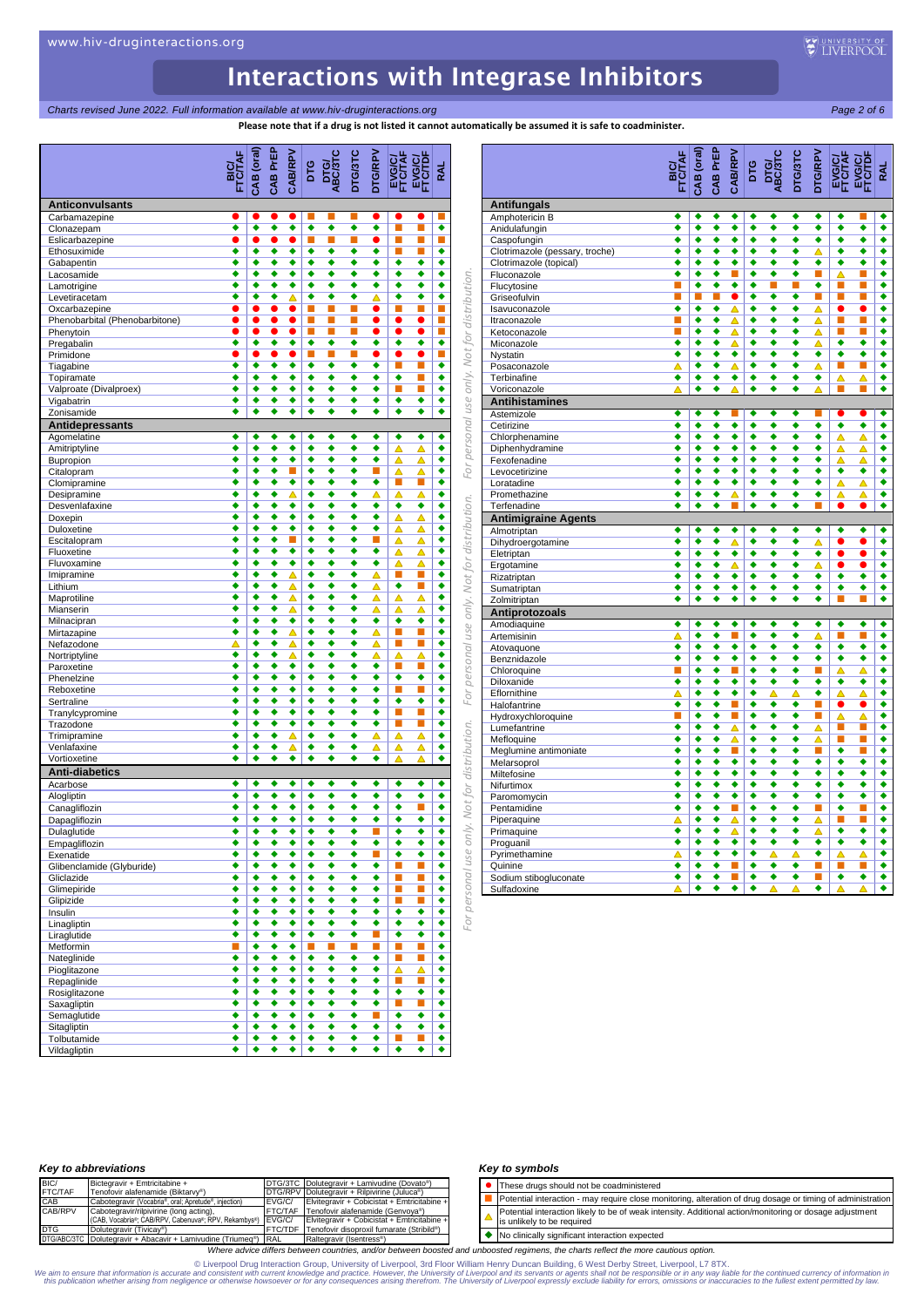*Charts revised June 2022. Full information available at www.hiv-druginteractions.org Page 2 of 6*

**Please note that if a drug is not listed it cannot automatically be assumed it is safe to coadminister.**

UNIVERSITY OF

|                                         |                        | CAB (oral)                | CAB PrEP               | CAB/RPV                | bтG                  |                      | <b>DTG/3TC</b> | <b>DTG/RPV</b>         | EVG/C/<br>FTC/TAF         | <b>EVG/C/</b><br>FTC/TDF | <b>RAL</b>          |                                              |
|-----------------------------------------|------------------------|---------------------------|------------------------|------------------------|----------------------|----------------------|----------------|------------------------|---------------------------|--------------------------|---------------------|----------------------------------------------|
|                                         | <b>BICAF</b>           |                           |                        |                        |                      |                      |                |                        |                           |                          |                     |                                              |
| <b>Anticonvulsants</b>                  |                        |                           |                        |                        |                      |                      |                |                        |                           |                          |                     |                                              |
| Carbamazepine                           | ●<br>٠                 | ٠                         | $\bullet$<br>٠         | $\bullet$<br>٠         | п<br>٠               | ■<br>٠               | П<br>٠         | ●<br>٠                 | П                         | п                        | ٠                   |                                              |
| Clonazepam<br>Eslicarbazepine           | $\bullet$              | $\bullet$                 | $\bullet$              | $\bullet$              | п                    | п                    | П              | $\bullet$              | П                         | п                        | п                   |                                              |
| Ethosuximide                            | ٠                      | ٠                         | ٠                      | ٠                      | ٠                    | ٠                    | ٠              | ٠                      | П                         |                          | ٠                   |                                              |
| Gabapentin                              | ٠                      | ٠                         | ٠                      | ٠                      | ٠                    | ٠                    | ٠              | ٠                      | ٠                         | ٠                        | ٠                   |                                              |
| Lacosamide<br>Lamotrigine               | ٠<br>٠                 | ٠<br>٠                    | ٠<br>٠                 | ٠<br>٠                 | ٠<br>٠               | ٠<br>٠               | ٠<br>٠         | ٠<br>٠                 | ٠<br>٠                    | ٠<br>٠                   | ٠<br>٠              |                                              |
| Levetiracetam                           | ٠                      | $\overline{\bullet}$      | ٠                      | Δ                      | ٠                    | ٠                    | ٠              | Δ                      | $\overline{\bullet}$      | ٠                        | ٠                   |                                              |
| Oxcarbazepine                           | $\bullet$              | $\bullet$                 | $\bullet$              | $\bullet$              | П                    | П                    | П              | $\bullet$              | П                         | п                        | п                   |                                              |
| Phenobarbital (Phenobarbitone)          | $\bullet$<br>$\bullet$ | $\bullet$<br>$\bullet$    | $\bullet$<br>$\bullet$ | $\bullet$<br>$\bullet$ | п<br>п               | П<br>п               | П<br>П         | $\bullet$<br>$\bullet$ | $\bullet$<br>$\bullet$    | $\bullet$<br>$\bullet$   | П<br>$\blacksquare$ |                                              |
| Phenytoin<br>Pregabalin                 | ٠                      | ٠                         | ٠                      | ٠                      | ٠                    | ٠                    | ٠              | ٠                      | ٠                         | ٠                        | ٠                   |                                              |
| Primidone                               |                        |                           | 0                      | 0                      | ш                    | ■                    | П              | 0                      | $\bullet$                 |                          | ▉                   |                                              |
| Tiagabine                               | ٠                      | ٠                         | ٠                      | ٠                      | ٠                    | ٠                    | ٠              | ٠                      | П                         | п                        | ٠                   |                                              |
| Topiramate<br>Valproate (Divalproex)    | ٠<br>٠                 | ٠<br>٠                    | ٠<br>٠                 | ٠<br>٠                 | ٠<br>٠               | ٠<br>٠               | ٠<br>٠         | ٠<br>٠                 | ٠<br>П                    | П<br>п                   | ٠<br>٠              |                                              |
| Vigabatrin                              | ٠                      | ٠                         | ٠                      | ٠                      | ٠                    | ٠                    | ٠              | ٠                      | ٠                         | ٠                        | ٠                   |                                              |
| Zonisamide                              | ٠                      | ٠                         | ٠                      | ٠                      | ٠                    | ٠                    | ٠              | ٠                      | ٠                         | ٠                        | ٠                   |                                              |
| Antidepressants                         | ٠                      | ٠                         | ٠                      |                        | ٠                    | ٠                    | ٠              | ٠                      | ٠                         |                          |                     | For personal use only. Not for distribution. |
| Agomelatine<br>Amitriptyline            | ٠                      | ٠                         | ٠                      | ٠<br>٠                 | ٠                    | ٠                    | ٠              | ٠                      | Δ                         | ٠<br>Δ                   | ٠<br>٠              |                                              |
| Bupropion                               | ٠                      | ٠                         | ٠                      | ٠                      | ٠                    | ٠                    | ٠              | ٠                      | Δ                         | Δ                        | ٠                   |                                              |
| Citalopram                              | ٠                      | ٠                         | ٠                      | п                      | ٠                    | ٠                    | ٠              | п                      | ▵                         | ▵                        | ٠                   |                                              |
| Clomipramine                            | ٠<br>٠                 | ٠<br>٠                    | ٠<br>٠                 | ٠<br>▵                 | ٠<br>٠               | ٠<br>٠               | ٠<br>٠         | ٠<br>Δ                 | П<br>Δ                    | п<br>Δ                   | ٠<br>٠              |                                              |
| Desipramine<br>Desvenlafaxine           | ٠                      | ٠                         | ٠                      | ٠                      | ٠                    | ٠                    | ٠              | ٠                      | ٠                         | ٠                        | ٠                   |                                              |
| Doxepin                                 | ٠                      | ٠                         | ٠                      | ٠                      | ٠                    | ٠                    | ٠              | ٠                      | Δ                         | Δ                        | ٠                   |                                              |
| Duloxetine                              | ٠                      | ٠                         | ٠                      | ٠                      | $\overline{\bullet}$ | $\overline{\bullet}$ | ٠              | ◆                      | Δ                         | Δ                        | ◆                   |                                              |
| Escitalopram<br>Fluoxetine              | ٠<br>٠                 | ٠<br>٠                    | ٠<br>٠                 | ٠                      | ٠<br>٠               | ٠<br>٠               | ٠<br>٠         | ■<br>٠                 | Δ<br>Δ                    | Δ<br>Δ                   | ٠<br>٠              |                                              |
| Fluvoxamine                             | ٠                      | ٠                         | ٠                      | ٠                      | ٠                    | ٠                    | ٠              | ٠                      | Δ                         | Δ                        | ٠                   |                                              |
| Imipramine                              | ٠                      | ٠                         | ٠                      | Δ                      | ٠                    | ٠                    | ٠              | △                      | П                         | п                        | ٠                   |                                              |
| Lithium                                 | ٠                      | ٠                         | ٠                      | Δ                      | ٠                    | ٠                    | ٠              | Δ                      | ٠                         |                          | ٠                   |                                              |
| Maprotiline<br>Mianserin                | ٠<br>٠                 | ٠<br>$\overline{\bullet}$ | ٠<br>٠                 | ▵<br>Δ                 | ٠<br>٠               | ٠<br>٠               | ٠<br>٠         | Δ<br>Δ                 | Δ<br>Δ                    | Ä<br>▵                   | ٠<br>٠              | For personal use only. Not for distribution. |
| Milnacipran                             | ٠                      | ٠                         | ٠                      | ٠                      | ٠                    | ٠                    | ٠              | ٠                      | ٠                         | ٠                        | ٠                   |                                              |
| Mirtazapine                             | ٠                      | ٠                         | ٠                      | Δ                      | ٠                    | ٠                    | ٠              | Δ                      | П                         | п                        | ٠                   |                                              |
| Nefazodone<br>Nortriptyline             | Δ<br>٠                 | ٠<br>٠                    | ٠<br>٠                 | ▵<br>Δ                 | ٠<br>٠               | ٠<br>٠               | ٠<br>٠         | △<br>Δ                 | П<br>▵                    | п<br>Δ                   | ٠<br>٠              |                                              |
| Paroxetine                              | ٠                      | ٠                         | ٠                      | ٠                      | ٠                    | ٠                    | ٠              | ٠                      | u,                        | $\blacksquare$           | ٠                   |                                              |
| Phenelzine                              | ٠                      | ٠                         | ٠                      | ٠                      | ٠                    | ٠                    | ٠              | ٠                      | ٠                         | ٠                        | ٠                   |                                              |
| Reboxetine                              | ٠                      | ٠                         | ٠                      | ٠                      | ٠                    | ٠                    | ٠              | ٠                      | ш                         | ш                        | ٠                   |                                              |
| Sertraline<br>Tranylcypromine           | ٠<br>٠                 | ٠<br>٠                    | ٠<br>٠                 | ٠<br>٠                 | ٠<br>٠               | ٠<br>٠               | ٠<br>٠         | ٠<br>٠                 | ٠<br>П                    | ٠<br>П                   | ٠<br>٠              |                                              |
| Trazodone                               | ٠                      | ٠                         | ٠                      | ٠                      | ٠                    | ٠                    | ٠              | ٠                      | П                         | п                        | ٠                   |                                              |
| Trimipramine                            | ٠                      | ٠                         | ٠                      | Δ                      | ٠                    | ٠                    | ٠              | Δ                      | Δ                         | Δ                        | ٠                   |                                              |
| Venlafaxine<br>Vortioxetine             | ٠<br>٠                 | ٠<br>٠                    | ٠<br>٠                 | Δ<br>٠                 | ٠<br>٠               | ٠<br>٠               | ٠<br>٠         | Δ<br>٠                 | Δ<br>Δ                    | Δ<br>Δ                   | ٠<br>٠              |                                              |
| <b>Anti-diabetics</b>                   |                        |                           |                        |                        |                      |                      |                |                        |                           |                          |                     | Not for distribution.                        |
| Acarbose                                | ٠                      | ٠                         | ٠                      | ٠                      | ٠                    | ٠                    | ٠              | ٠                      | ٠                         | ٠                        | ٠                   |                                              |
| Alogliptin                              | ٠                      | ٠                         | ٠                      | ٠                      | ٠                    | ٠                    | ٠              | ٠                      | ٠                         | ٠                        | ٠                   |                                              |
| Canagliflozin                           | ٠<br>٠                 | ٠<br>٠                    | ٠<br>٠                 | ٠<br>٠                 | ٠<br>٠               | ٠<br>٠               | ٠<br>٠         | ٠<br>٠                 | ٠<br>٠                    | п<br>٠                   | ٠<br>٠              |                                              |
| Dapagliflozin<br>Dulaglutide            |                        | ٠                         | ٠                      |                        | ٠                    | ٠                    | ٠              |                        |                           |                          |                     |                                              |
| Empagliflozin                           | ٠                      | ٠                         | ٠                      | ٠                      | ٠                    | ٠                    | ٠              | ٠                      | ٠                         | ٠                        | ٠                   | For personal use only.                       |
| Exenatide                               | ٠                      | ٠                         | ٠                      | ٠                      | ٠                    | ٠                    | ٠              | п                      | ٠                         | ٠                        | ٠                   |                                              |
| Glibenclamide (Glyburide)<br>Gliclazide | ٠<br>٠                 | ٠<br>٠                    | ٠<br>٠                 | ٠<br>٠                 | ٠<br>٠               | ٠<br>٠               | ٠<br>٠         | ٠<br>٠                 | П<br>п                    | п<br>T.                  | ٠<br>٠              |                                              |
| Glimepiride                             | ٠                      | ٠                         | ٠                      | ٠                      | ٠                    | ٠                    | ٠              | ٠                      | п                         | Ũ                        | ٠                   |                                              |
| Glipizide                               | ٠                      | ٠                         | ٠                      | ٠                      | ٠                    | ٠                    | ٠              | ٠                      | п                         | п                        | ٠                   |                                              |
| Insulin                                 | ٠                      | ٠                         | ٠                      | ٠                      | ٠                    | ٠                    | ٠              | ٠                      | ٠                         | ٠                        | ٠                   |                                              |
| Linagliptin<br>Liraglutide              | ٠<br>٠                 | ٠<br>٠                    | ٠<br>٠                 | ٠<br>٠                 | ٠<br>٠               | ٠<br>٠               | ٠<br>٠         | ٠<br>П                 | ٠<br>$\overline{\bullet}$ | ٠<br>٠                   | ٠<br>٠              |                                              |
| Metformin                               | п                      | ٠                         | ٠                      | ٠                      | $\mathbb{R}^n$       | П                    | П              | п                      | П                         | п                        | ٠                   |                                              |
| Nateglinide                             | ٠                      | ٠                         | ٠                      | ٠                      | ٠                    | ٠                    | ٠              | ٠                      | L.                        | п                        | ٠                   |                                              |
| Pioglitazone<br>Repaglinide             | ٠<br>٠                 | ٠<br>٠                    | ٠<br>٠                 | ٠<br>٠                 | ٠<br>٠               | ٠<br>٠               | ٠<br>٠         | ٠<br>٠                 | Δ<br>L.                   | Δ<br>×                   | ٠<br>٠              |                                              |
| Rosiglitazone                           | ٠                      | ٠                         | ٠                      | ٠                      | ٠                    | ٠                    | ٠              | ٠                      | ٠                         | ٠                        | ٠                   |                                              |
| Saxagliptin                             | ٠                      | ٠                         | ٠                      | ٠                      | ٠                    | ٠                    | ٠              | ٠                      | п                         | ×                        | ٠                   |                                              |
| Semaglutide                             | ٠                      | ٠                         | ٠                      | ٠                      | ٠                    | ٠                    | ٠              | п<br>٠                 | ٠                         | ٠<br>٠                   | ٠                   |                                              |
| Sitagliptin<br>Tolbutamide              | ٠<br>٠                 | ٠<br>٠                    | ٠<br>٠                 | ٠<br>٠                 | ٠<br>٠               | ٠<br>٠               | ٠<br>٠         | ٠                      | ◆<br>П                    | п                        | ٠<br>٠              |                                              |
| Vildagliptin                            | ٠                      | ٠                         | ٠                      | ٠                      | ٠                    | ٠                    | ٠              | ٠                      | ٠                         | ٠                        | ٠                   |                                              |

|                                |                      | CAB (oral            | CAB PrEP             | CAB/RPV                     | bтg                  | ABC/3TC                   | <b>DTG/3TC</b>            | <b>DTG/RPV</b>       | <b>EVG/C/</b><br>FTC/TAF | <b>EVG/C/</b><br>FTC/TDF    | ₹                    |
|--------------------------------|----------------------|----------------------|----------------------|-----------------------------|----------------------|---------------------------|---------------------------|----------------------|--------------------------|-----------------------------|----------------------|
| <b>Antifungals</b>             |                      |                      |                      |                             |                      |                           |                           |                      |                          |                             |                      |
| Amphotericin B                 | ٠                    | ٠                    | ٠                    | ٠                           | ٠                    |                           | ٠                         | ٠                    | ٠                        |                             | ٠                    |
| Anidulafungin                  | ٠                    | ٠                    | ٠                    | ∙                           | ٠                    | ٠                         | ٠                         | ٠                    | ٠                        | ٠                           | ◆                    |
| Caspofungin                    | $\overline{\bullet}$ | ∙                    | ∙                    | ∙                           | ٠                    | ∙                         | $\overline{\bullet}$      | $\overline{\bullet}$ | $\overline{\bullet}$     | $\overline{\bullet}$        | ∙                    |
| Clotrimazole (pessary, troche) | ٠                    | ٠                    | ٠                    | ٠                           | ٠                    | ٠                         | ٠                         | ▵                    | ٠                        | ٠                           | ٠                    |
| Clotrimazole (topical)         | ٠                    | ٠                    | ٠                    | ٠                           | ٠                    | ٠                         | ٠                         | ٠                    | ٠                        | ٠                           | ∙                    |
| Fluconazole                    | $\overline{\bullet}$ | ٠                    | ∙                    | п                           | ٠                    | ٠                         | ٠                         | П                    | Δ                        | п                           | ∙                    |
| Flucytosine                    | п<br>П               | ٠<br>П               | ٠<br>п               | ٠<br>$\bullet$              | ٠<br>∙               | П<br>$\overline{\bullet}$ | п<br>$\overline{\bullet}$ | ٠<br>п               | П<br>П                   | п<br>п                      | ٠                    |
| Griseofulvin                   | ٠                    | ٠                    | ٠                    |                             | ٠                    | ٠                         |                           |                      | $\bullet$                | $\bullet$                   | ◆<br>٠               |
| Isavuconazole                  | п                    | ٠                    | ٠                    | Δ                           | ٠                    | ٠                         | ٠<br>٠                    | Δ                    | П                        | п                           | ◆                    |
| Itraconazole                   | п                    | ٠                    | ∙                    | Δ<br>Δ                      | ٠                    | ٠                         | ٠                         | Δ<br>Δ               | П                        | п                           | ∙                    |
| Ketoconazole<br>Miconazole     | ٠                    | ٠                    | ٠                    | Δ                           | ٠                    | ٠                         | ٠                         | Δ                    | ٠                        | ٠                           | ٠                    |
| Nystatin                       | ٠                    | ٠                    | ٠                    | ٠                           | ٠                    | ٠                         | ٠                         | ٠                    | ٠                        | ٠                           | ∙                    |
| Posaconazole                   | Δ                    | ٠                    | ٠                    | Δ                           | ٠                    | ٠                         | ٠                         | Δ                    | П                        | п                           | ◆                    |
| Terbinafine                    | ٠                    | ٠                    | ٠                    | ٠                           | ٠                    | ٠                         | ٠                         | ٠                    | Δ                        | Δ                           | ٠                    |
| Voriconazole                   | Δ                    | ◆                    | ٠                    | Δ                           | ◆                    | ٠                         | $\overline{\bullet}$      | Δ                    |                          |                             | ◆                    |
| Antihistamines                 |                      |                      |                      |                             |                      |                           |                           |                      |                          |                             |                      |
| Astemizole                     | ٠                    | ٠                    | ٠                    | п                           | ٠                    | ٠                         | ٠                         |                      |                          |                             | ٠                    |
| Cetirizine                     | ٠                    | ٠                    | ٠                    | ٠                           | ٠                    | ٠                         | ٠                         | ٠                    | ٠                        | ٠                           | ٠                    |
| Chlorphenamine                 | ◆                    | ٠                    | ٠                    | ◆                           | ٠                    | ٠                         | ٠                         | ٠                    | Δ                        | Δ                           | ◆                    |
| Diphenhydramine                | ٠                    | ٠                    | ٠                    | ◆                           | ٠                    | ٠                         | ٠                         | ٠                    | Δ                        | Δ                           | ٠                    |
| Fexofenadine                   | ٠                    | ٠                    | ٠                    | ٠                           | ٠                    | ٠                         | ٠                         | ٠                    | Δ                        | Δ                           | ٠                    |
| Levocetirizine                 | ٠                    | ٠                    | ٠                    | ٠                           | ٠                    | ٠                         | ٠                         | ٠                    | ٠                        | ٠                           | ◆                    |
| Loratadine                     | ∙                    | ◆                    | 3                    | ∙                           | ◆                    | ∙                         | ∙                         | $\overline{\bullet}$ | $\overline{\Delta}$      | $\overline{\Delta}$         | ∙                    |
| Promethazine                   | ٠                    | ٠                    | ٠                    | Δ                           | ٠                    | ٠                         | ٠                         | ٠                    | Δ                        | Δ                           | ٠                    |
| Terfenadine                    | ٠                    | ٠                    | ٠                    | п                           | ٠                    | ٠                         | ٠                         | п                    | $\bullet$                | $\bullet$                   | ◆                    |
| <b>Antimigraine Agents</b>     |                      |                      |                      |                             |                      |                           |                           |                      |                          |                             |                      |
| Almotriptan                    | ٠                    | ٠                    | ٠                    | ٠                           | ٠                    | ٠                         | ٠                         | ٠                    | ٠                        | ٠                           | ٠                    |
| Dihydroergotamine              | ٠                    | ٠                    | ٠                    | Δ                           | ٠                    | ٠                         | ٠                         | Δ                    | $\bullet$                | $\bullet$                   | ∙                    |
| Eletriptan                     | ٠                    | ٠                    | ٠                    | ٠                           | ٠                    | ٠                         | ٠                         | ٠                    | $\bullet$                |                             | ٠                    |
| Ergotamine                     | ٠                    | ٠                    | ٠                    | ▵                           | ٠                    | ٠                         | ٠                         | ▵                    | $\bullet$                |                             | ٠                    |
| Rizatriptan                    | $\overline{\bullet}$ | $\overline{\bullet}$ | $\overline{\bullet}$ | ٠                           | $\overline{\bullet}$ | $\overline{\bullet}$      | $\overline{\bullet}$      | ٠                    | ٠                        | ٠                           | ∙                    |
| Sumatriptan                    | ٠                    | ٠                    | ٠                    | ٠                           | ٠                    | ٠                         | ٠                         | ٠                    | ٠                        | ٠                           | ٠                    |
| Zolmitriptan                   | ٠                    | ٠                    | ٠                    | ٠                           | ٠                    | ٠                         | ٠                         | ٠                    | П                        | П                           | ◆                    |
| Antiprotozoals                 |                      |                      |                      |                             |                      |                           |                           |                      |                          |                             |                      |
| Amodiaquine                    | ٠                    | ٠                    | ٠                    | ٠                           | ٠                    | ٠                         | ٠                         | ٠                    | ٠                        | ٠                           | ٠                    |
| Artemisinin                    | Δ                    | ٠                    | ٠                    | П                           | ٠                    | ٠                         | ٠                         | Δ                    | П                        | П                           | ◆                    |
| Atovaquone                     | ٠                    | ٠                    | ٠                    | ٠                           | ٠                    | ٠                         | ٠                         | ٠                    | ٠                        | ٠                           | ٠                    |
| Benznidazole                   | ٠                    | ٠<br>٠               | ٠<br>∙               | ٠                           | ٠<br>٠               | ٠<br>∙                    | ٠<br>∙                    | ٠                    | ٠                        | ٠                           | ٠<br>∙               |
| Chloroquine                    | п<br>٠               | ٠                    | ٠                    | п<br>٠                      | ۰                    | ٠                         | ٠                         | п<br>٠               | △<br>٠                   | ▵<br>٠                      | ٠                    |
| Diloxanide<br>Eflornithine     | Δ                    | ٠                    | ٠                    | ٠                           | ٠                    | Δ                         | Δ                         | ٠                    | Δ                        | $\overline{\blacktriangle}$ | ◆                    |
| Halofantrine                   | ٠                    | ٠                    | ٠                    | ш                           | ٠                    | ٠                         | ٠                         | D.                   | $\bullet$                | $\bullet$                   | ◆                    |
| Hydroxychloroquine             | п                    | ٠                    | ٠                    | п                           | ٠                    | ٠                         | ٠                         | п                    | Δ                        | Δ                           | ٠                    |
| Lumefantrine                   | ٠                    | ٠                    | ٠                    | $\overline{\blacktriangle}$ | ٠                    | ٠                         | ٠                         | Δ                    | П                        | П                           | ◆                    |
| Mefloquine                     | ٠                    | ٠                    | ٠                    | ▵                           | ٠                    | ٠                         | ٠                         | Δ                    | П                        | п                           | ٠                    |
| Meglumine antimoniate          | ٠                    | ٠                    | ٠                    | $\blacksquare$              | ٠                    | ٠                         | ٠                         | п                    | ٠                        | п                           | ◆                    |
| Melarsoprol                    | ∙                    | ō                    | ◆                    | ∙                           | ∙                    | $\overline{\bullet}$      | ō                         | $\overline{\bullet}$ | $\overline{\bullet}$     | $\overline{\bullet}$        | ∙                    |
| Miltefosine                    | ٠                    | ٠                    | ٠                    | ٠                           | ٠                    | ٠                         | ٠                         | ٠                    | ٠                        | ٠                           | ٠                    |
| Nifurtimox                     | ٠                    | ٠                    | ٠                    | ٠                           | ٠                    | ٠                         | ٠                         | ٠                    | ٠                        | ٠                           | ◆                    |
| Paromomycin                    | $\overline{\bullet}$ | ◆                    | ◆                    | ∙                           | $\overline{\bullet}$ | $\overline{\bullet}$      | $\overline{\bullet}$      | $\overline{\bullet}$ | $\overline{\bullet}$     | $\overline{\bullet}$        | ∙                    |
| Pentamidine                    | $\overline{\bullet}$ | ٠                    | ∙                    | П                           | $\overline{\bullet}$ | ٠                         | $\overline{\bullet}$      | П                    | $\overline{\bullet}$     | П                           | $\overline{\bullet}$ |
| Piperaquine                    | Δ                    | ٠                    | ∙                    | Δ                           | ٠                    | ٠                         | ٠                         | Δ                    | П                        | п                           | ∙                    |
| Primaquine                     | ٠                    | ٠                    | ٠                    | Δ                           | ٠                    | ٠                         | ٠                         | ▵                    | ٠                        | ٠                           | ٠                    |
| Proguanil                      | ٠                    | ٠                    | ٠                    | ٠                           | ٠                    | ٠                         | ٠                         | ٠                    | ٠                        | ٠                           | ∙                    |
| Pyrimethamine                  | Δ                    | ٠                    | ٠                    | ٠                           | ٠                    | ́                         | Δ                         | ٠                    | Δ                        | Δ                           | ٠                    |
| Quinine                        | ٠                    | ٠                    | ٠                    | п                           | ٠                    | ٠                         | ٠                         | ▬                    | $\Box$                   | ш                           | ٠                    |
| Sodium stibogluconate          | ٠                    | ٠                    | ٠                    | п                           | ٠                    | ٠                         | ٠                         | п                    | ٠                        | ٠                           | ٠                    |
| Sulfadoxine                    | Δ                    | $\overline{\bullet}$ | ∙                    | ٠                           | ∙                    | Δ                         | Δ                         | $\overline{\bullet}$ | Δ                        | Δ                           | ∙                    |

# *Key to abbreviations*

| BIC/       | Bictegravir + Emtricitabine +                                               |        | DTG/3TC Dolutegravir + Lamivudine (Dovato®)               |
|------------|-----------------------------------------------------------------------------|--------|-----------------------------------------------------------|
| FTC/TAF    | Tenofovir alafenamide (Biktaryv®)                                           |        | DTG/RPV Dolutegravir + Rilpivirine (Juluca <sup>®</sup> ) |
| CAB        | Cabotegravir (Vocabria®, oral; Apretude®, injection)                        | EVG/C/ | Elvitegravir + Cobicistat + Emtricitabine +               |
| CAB/RPV    | Cabotegravir/rilpivirine (long acting),                                     |        | FTC/TAF Tenofovir alafenamide (Genvova®)                  |
|            | (CAB, Vocabria®; CAB/RPV, Cabenuva®; RPV, Rekambys®) EVG/C/                 |        | Elvitegravir + Cobicistat + Emtricitabine +               |
| <b>DTG</b> | Dolutegravir (Tivicav <sup>®</sup> )                                        |        | FTC/TDF Tenofovir disoproxil fumarate (Stribild®)         |
|            | DTG/ABC/3TC Dolutegravir + Abacavir + Lamivudine (Triumeg <sup>®)</sup> RAL |        | Raltegravir (Isentress <sup>®</sup> )                     |

### *Key to symbols*

⚫ These drugs should not be coadministered

- Potential interaction may require close monitoring, alteration of drug dosage or timing of administration
- Potential interaction likely to be of weak intensity. Additional action/monitoring or dosage adjustment  $\Delta$ is unlikely to be required

◆ No clinically significant interaction expected

*Where advice differs between countries, and/or between boosted and unboosted regimens, the charts reflect the more cautious option.*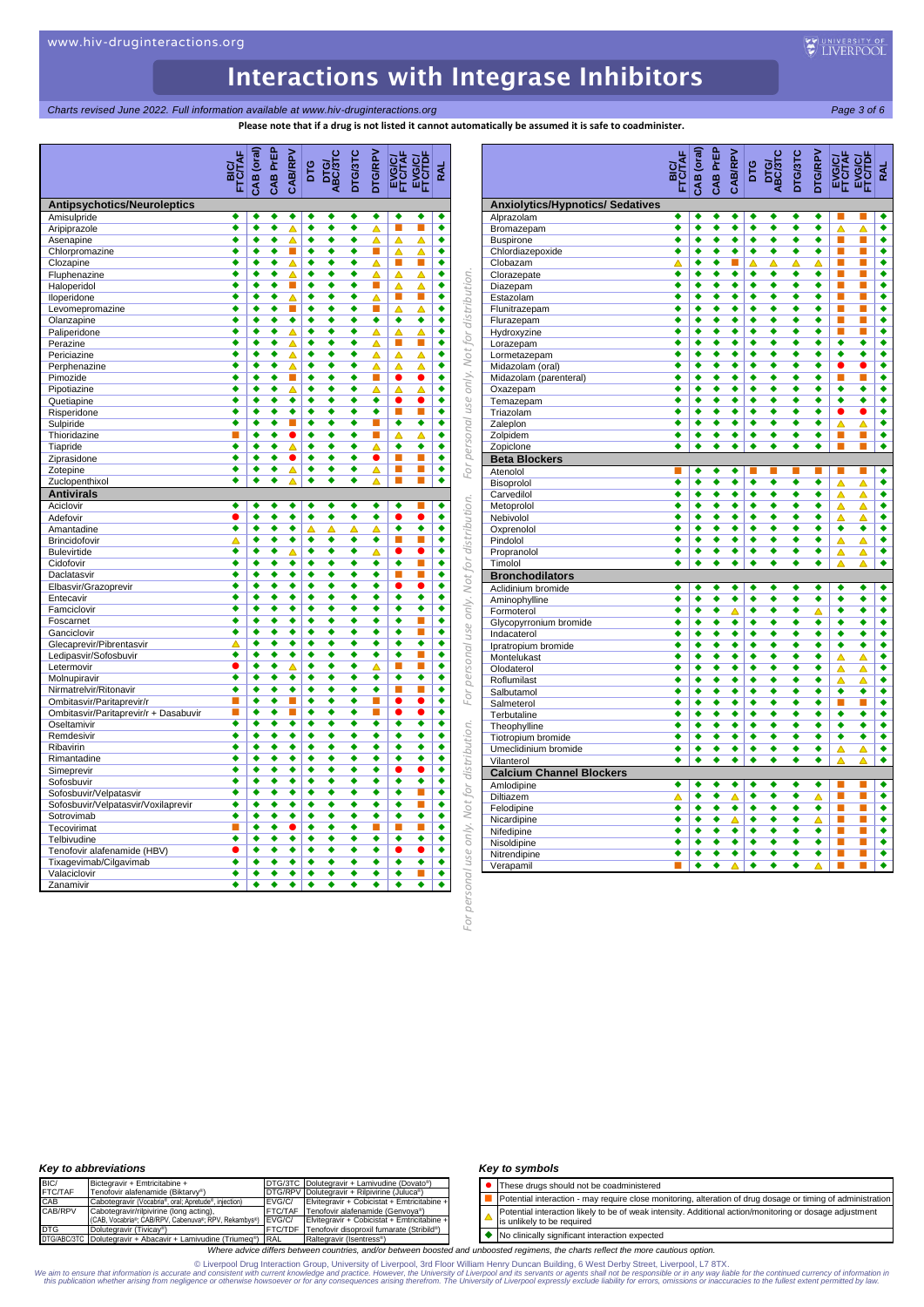**Charts revised June 2022. Full information available at www.hiv-druginteractions.org** Page 3 of 6<sup>2</sup>

**Please note that if a drug is not listed it cannot automatically be assumed it is safe to coadminister.**

UNIVERSITY OF

|                                       | FTC/TAF              | CAB (oral            | CAB PrEP             | CAB/RPV              | bтG                  | <b>DTG/</b><br>ABC/3TC | <b>DTG/3TC</b>            | <b>DTG/RPV</b>       | EVG/C/<br>FTC/TAF         | <b>EVG/C</b><br>FTC/TDF   | RAL                  |
|---------------------------------------|----------------------|----------------------|----------------------|----------------------|----------------------|------------------------|---------------------------|----------------------|---------------------------|---------------------------|----------------------|
| <b>Antipsychotics/Neuroleptics</b>    |                      |                      |                      |                      |                      |                        |                           |                      |                           |                           |                      |
| Amisulpride                           | ٠                    | ٠                    | ٠                    | ٠                    | ٠                    | ٠                      | ٠                         | ٠                    | ٠                         | ٠                         | ٠                    |
| Aripiprazole                          | ٠                    | ◆                    | ∙                    | À                    | ◆                    | ٠                      | ◆                         | Δ                    | П                         | п                         | ∙                    |
| Asenapine                             | ٠                    | ∙                    | ٠                    | Δ                    | ٠                    | ٠                      | ٠                         | Ā                    | Δ                         | $\overline{\Delta}$       | $\overline{\bullet}$ |
| Chlorpromazine                        | ٠<br>٠               | ٠                    | $\overline{\bullet}$ | П                    | ٠                    | ٠<br>٠                 | ٠                         |                      | Δ                         | Δ                         | ٠                    |
| Clozapine                             | ٠                    | ٠<br>◆               | ٠<br>٠               | Δ                    | ٠<br>∙               | ٠                      | ٠<br>٠                    | Δ                    | П                         |                           | ٠<br>٠               |
| Fluphenazine                          | ٠                    | ٠                    | ٠                    | Δ<br><b>I</b>        | ٠                    | ٠                      | ٠                         | Δ<br>п               | Δ<br>Δ                    | Δ<br>Δ                    | ٠                    |
| Haloperidol<br>Iloperidone            | ٠                    | ◆                    | ∙                    | Δ                    | $\overline{\bullet}$ | $\overline{\bullet}$   | ◆                         | Δ                    | П                         | п                         | ٠                    |
| Levomepromazine                       | ٠                    | ∙                    | ◆                    | П                    | ٠                    | ∙                      | ∙                         | П                    | Δ                         | Δ                         | ◆                    |
| Olanzapine                            | ٠                    | ٠                    | ٠                    | ٠                    | ٠                    | ٠                      | ٠                         | ٠                    | ٠                         | ٠                         | ٠                    |
| Paliperidone                          | ٠                    | ٠                    | ٠                    | Δ                    | ٠                    | ٠                      | ٠                         | Δ                    | Δ                         | Δ                         | ◆                    |
| Perazine                              | ٠                    | ◆                    | ∙                    | Δ                    | ∙                    | ∙                      | ∙                         | Δ                    | П                         | D.                        | ◆                    |
| Periciazine                           | ٠                    | ٠                    | ٠                    | Δ                    | ٠                    | ٠                      | ٠                         | Δ                    | Δ                         | Δ                         | ٠                    |
| Perphenazine                          | ٠                    | ٠                    | ٠                    | Δ                    | ٠                    | ٠                      | ◆                         | Δ                    | Δ                         | Δ                         | ◆                    |
| Pimozide                              | ٠                    | ٠                    | ٠                    | п                    | ٠                    | ٠                      | ٠                         | п                    | $\bullet$                 | $\bullet$                 | ٠                    |
| Pipotiazine                           | ٠                    | ◆                    | ٠                    | Δ                    | ٠                    | $\overline{\bullet}$   | ٠                         | Δ                    | △                         | Δ                         | ٠                    |
| Quetiapine                            | ٠<br>٠               | ٠<br>◆               | ٠                    | ٠                    | ٠                    | ٠<br>٠                 | ٠<br>٠                    | ٠                    |                           |                           | ٠<br>◆               |
| Risperidone                           | ٠                    | ٠                    | ٠<br>٠               | ٠<br>п               | ٠<br>٠               | ٠                      | ٠                         | ٠<br>п               | Ξ<br>٠                    | П<br>٠                    | ٠                    |
| Sulpiride<br>Thioridazine             | П                    | ◆                    | ∙                    | $\overline{\bullet}$ | $\overline{\bullet}$ | $\overline{\bullet}$   | ◆                         | п                    | Δ                         | Δ                         | ٠                    |
| Tiapride                              | ٠                    | ∙                    | ◆                    | Δ                    | ٠                    | ∙                      | ∙                         | Ā                    | ∙                         | ٠                         | ∙                    |
| Ziprasidone                           | ٠                    | ٠                    | ٠                    | $\bullet$            | ٠                    | ٠                      | ٠                         | $\bullet$            | п                         | п                         | ٠                    |
| Zotepine                              | ٠                    | ◆                    | ٠                    | Δ                    | ٠                    | ∙                      | ◆                         | Δ                    | П                         |                           | ◆                    |
| Zuclopenthixol                        | ٠                    | ٠                    | ٠                    | Δ                    | ٠                    | ٠                      | ٠                         | Δ                    | П                         | п                         | ٠                    |
| <b>Antivirals</b>                     |                      |                      |                      |                      |                      |                        |                           |                      |                           |                           |                      |
| Aciclovir                             | ٠                    | ٠                    | ٠                    | ٠                    | ٠                    | ٠                      | ٠                         | ٠                    | ٠                         | u                         | ٠                    |
| Adefovir                              |                      | ◆                    | ∙                    | ◆                    | ◆                    | ∙                      | $\overline{\bullet}$      | $\overline{\bullet}$ | $\bullet$                 |                           | ◆                    |
| Amantadine                            | ◆                    | $\overline{\bullet}$ | $\overline{\bullet}$ | ٠                    | Δ                    | Δ                      | Δ                         | Δ                    | $\overline{\bullet}$      | $\overline{\bullet}$      | ◆                    |
| Brincidofovir                         | Δ                    | ٠                    | ٠                    | ٠                    | ٠                    | ٠                      | ٠                         | ٠                    | E                         | П                         | ٠                    |
| Bulevirtide                           | ٠                    | ٠                    | ٠                    | Δ                    | ٠                    | ٠                      | ٠                         | Δ                    | $\bullet$                 | $\bullet$                 | ٠                    |
| Cidofovir                             | ٠                    | ٠                    | ٠                    | ٠                    | ٠                    | ∙                      | ٠                         | ٠                    | ◆<br>П                    | п<br>П                    | ∙                    |
| Daclatasvir                           | ٠<br>٠               | ٠                    | ٠                    | ∙<br>٠               | ٠                    | ∙                      | ◆                         | ∙<br>٠               |                           |                           | ٠                    |
| Elbasvir/Grazoprevir<br>Entecavir     | ٠                    | ٠<br>∙               | ٠<br>۰               | ∙                    | ٠<br>٠               | ٠<br>∙                 | ٠<br>∙                    | ٠                    | ٠                         | ٠                         | ٠<br>◆               |
| Famciclovir                           | ٠                    | ٠                    | $\overline{\bullet}$ | ٠                    | $\overline{\bullet}$ | $\overline{\bullet}$   | $\overline{\bullet}$      | ∙                    | $\overline{\bullet}$      | $\overline{\bullet}$      | $\overline{\bullet}$ |
| Foscarnet                             | $\overline{\bullet}$ | ٠                    | ٠                    | ◆                    | ٠                    | ٠                      | ٠                         | ◆                    | ◆                         | П                         | ٠                    |
| Ganciclovir                           | ٠                    | ٠                    | ٠                    | ٠                    | ٠                    | ٠                      | ٠                         | ٠                    | ٠                         | п                         | ٠                    |
| Glecaprevir/Pibrentasvir              | Δ                    | ٠                    | ٠                    | ٠                    | ٠                    | ٠                      | ٠                         | ٠                    | ٠                         | ٠                         | ٠                    |
| Ledipasvir/Sofosbuvir                 | ٠                    | ◆                    | ∙                    | ∙                    | ◆                    | ∙                      | $\overline{\bullet}$      | ∙                    | ◆                         |                           | ◆                    |
| Letermovir                            |                      | ٠                    | ٠                    | Δ                    | ٠                    | ٠                      | ٠                         | Δ                    | П                         |                           | ٠                    |
| Molnupiravir                          | ٠                    | ٠                    | ◆                    | ٠                    | ٠                    | ∙                      | ٠                         | ٠                    | ٠                         | ٠                         | ٠                    |
| Nirmatrelvir/Ritonavir                | ٠                    | ٠                    | ٠                    | ٠                    | ٠                    | ٠                      | ٠                         | ٠                    | П                         | п                         | ٠                    |
| Ombitasvir/Paritaprevir/r             | п                    | ∙                    | ٠                    | ū                    | ٠                    | ∙                      | ٠                         | п                    | $\overline{\bullet}$      | ō                         | ∙                    |
| Ombitasvir/Paritaprevir/r + Dasabuvir | Г                    | ◆                    | ٠                    | п                    | ٠                    | ∙                      | ◆                         | г                    | $\overline{\bullet}$      |                           | ◆                    |
| Oseltamivir                           | ٠<br>٠               | ٠<br>∙               | ٠<br>∙               | ٠<br>∙               | ٠<br>∙               | ٠<br>∙                 | ٠<br>∙                    | ٠<br>∙               | ٠<br>$\overline{\bullet}$ | ٠<br>$\overline{\bullet}$ | ٠<br>◆               |
| Remdesivir<br>Ribavirin               | $\overline{\bullet}$ | ∙                    | ∙                    | ٠                    | $\overline{\bullet}$ | ∙                      | $\overline{\bullet}$      | ∙                    | ∙                         | $\overline{\bullet}$      | ◆                    |
| Rimantadine                           | ٠                    | ٠                    | ٠                    | ٠                    | ٠                    | ٠                      | ٠                         | ٠                    | ٠                         | ٠                         | ٠                    |
| Simeprevir                            | ٠                    | ٠                    | ٠                    | ٠                    | ٠                    | ٠                      | ٠                         | ٠                    | $\bullet$                 | $\bullet$                 | ٠                    |
| Sofosbuvir                            | ٠                    | ◆                    | ٠                    | ٠                    | ٠                    | ٠                      | ٠                         | ٠                    | $\overline{\bullet}$      | ٠                         | $\overline{\bullet}$ |
| Sofosbuvir/Velpatasvir                | ٠                    | ٠                    | ٠                    | ٠                    | ٠                    | ٠                      | ٠                         | ٠                    | ٠                         |                           | ٠                    |
| Sofosbuvir/Velpatasvir/Voxilaprevir   | ٠                    | ٠                    | ٠                    | ٠                    | ٠                    | ٠                      | ٠                         | ٠                    | ٠                         |                           | ∙                    |
| Sotrovimab                            | ٠                    | ٠                    | ◆                    | ◆                    | ◆                    | ∙                      | ◆                         | ∙                    | ٠                         | ٠                         | ٠                    |
| Tecovirimat                           | п                    | ٠                    | ٠                    | ●                    | ٠                    | ٠                      | ٠                         | п                    | П                         | п                         | ٠                    |
| Telbivudine                           | ٠                    | ٠                    | ٠                    | ٠                    | ٠                    | ∙                      | ◆                         | ٠                    | $\overline{\bullet}$      | ∙                         | ٠                    |
| Tenofovir alafenamide (HBV)           |                      | ٠                    | ٠                    | ٠                    | ٠                    | ٠                      | ٠                         | ٠                    | $\overline{\bullet}$      | $\overline{\bullet}$      | ٠                    |
| Tixagevimab/Cilgavimab                | ٠                    | ٠                    | ٠                    | ٠                    | ٠                    | ٠                      | ٠                         | ٠                    | ٠                         | ٠                         | ٠                    |
| Valaciclovir                          | ٠<br>∙               | ◆<br>∙               | ∙<br>∙               | ∙<br>٠               | ∙<br>∙               | ∙<br>∙                 | $\overline{\bullet}$<br>∙ | ∙<br>◆               | $\overline{\bullet}$      | п<br>◆                    | ◆                    |
| Zanamivir                             |                      |                      |                      |                      |                      |                        |                           |                      | $\overline{\bullet}$      |                           | $\overline{\bullet}$ |

|                                         |                           | CAB (oral                 | CAB PrEP                  | CAB/RPV              | pтG                       | DTG/<br>\BC/3TC           | <b>PTG/3TC</b>            | <b>JTG/RPV</b>            | EVG/C                     | <b>EVG/DF</b><br>Frombe   | ₹                         |
|-----------------------------------------|---------------------------|---------------------------|---------------------------|----------------------|---------------------------|---------------------------|---------------------------|---------------------------|---------------------------|---------------------------|---------------------------|
| <b>Anxiolytics/Hypnotics/ Sedatives</b> |                           |                           |                           |                      |                           |                           |                           |                           |                           |                           |                           |
| Alprazolam                              | ٠                         | ٠                         | ٠                         | ٠                    | ٠                         |                           | ٠                         | ٠                         |                           |                           | ٠                         |
| Bromazepam                              | ◆                         | ◆                         | ◆                         | ◆                    | ٠                         | ٠                         | ◆                         | ∙                         | Δ                         | Δ                         | ∙                         |
| Buspirone                               | ∙                         | ∙                         | ∙                         | $\overline{\bullet}$ | ٠                         | ٠                         | ٠                         | ∙                         | П                         | П                         | ∙                         |
| Chlordiazepoxide                        | $\overline{\bullet}$      | ٠                         | ٠                         | $\overline{\bullet}$ | ٠                         | ٠                         | $\overline{\bullet}$      | $\overline{\bullet}$      | п                         | п                         | ◆                         |
| Clobazam                                | Δ                         | ٠                         | ٠                         | П                    | Δ                         | Δ                         | Δ                         | Δ                         | П                         | п                         | ٠                         |
| Clorazepate                             | ٠                         | $\overline{\bullet}$      | ◆                         | ٠                    | ٠                         | ٠                         | ٠                         | ٠                         | Ō,                        | П                         | ∙                         |
| Diazepam                                | ∙                         | ٠                         | ∙                         | ٠                    | ٠                         | ∙                         | ∙                         | $\overline{\bullet}$      | п                         | п                         | ∙                         |
| Estazolam                               | $\overline{\bullet}$      | ٠                         | $\overline{\bullet}$      | $\overline{\bullet}$ | ٠                         | $\overline{\bullet}$      | $\overline{\bullet}$      | $\overline{\bullet}$      | П                         | П                         | $\overline{\bullet}$      |
| Flunitrazepam                           | ٠                         | ٠                         | ٠                         | ٠                    | ٠                         | ٠                         | ٠                         | ٠                         | П                         | п                         | ٠                         |
| Flurazepam                              | ٠                         | ٠                         | ◆                         | ٠                    | ٠                         | ∙                         | ∙                         | ٠                         | п                         | п                         | ∙                         |
| Hydroxyzine                             | ٠                         | ٠                         | ∙                         | ٠                    | ٠                         | ٠                         | ٠                         | ٠                         | П                         | П                         | ◆                         |
| Lorazepam                               | ٠                         | ٠                         | ٠                         | ٠                    | ٠                         | ٠                         | ٠                         | ٠                         | ٠                         | ٠                         | ∙                         |
| Lormetazepam                            | ٠                         | ٠                         | ٠                         | ٠                    | ٠                         | ٠                         | ٠                         | ٠                         | ٠                         | ٠                         | ٠                         |
| Midazolam (oral)                        | ◆                         | ٠                         | ◆                         | $\overline{\bullet}$ | ٠                         | ٠                         | ٠                         | ٠                         | $\bullet$                 | $\bullet$                 | ◆                         |
| Midazolam (parenteral)                  | ∙<br>$\overline{\bullet}$ | ٠<br>٠                    | ٠<br>$\overline{\bullet}$ | ٠<br>٠               | ٠<br>٠                    | ٠<br>٠                    | ٠<br>$\overline{\bullet}$ | ٠<br>٠                    | п<br>$\overline{\bullet}$ | п<br>$\overline{\bullet}$ | ∙<br>$\overline{\bullet}$ |
| Oxazepam                                | ٠                         | ٠                         | ٠                         | ٠                    | ٠                         | ٠                         | ٠                         | ٠                         | ٠                         | ٠                         | ٠                         |
| Temazepam<br>Triazolam                  | ◆                         | ٠                         | ٠                         | ٠                    | ٠                         | ٠                         | ٠                         | ٠                         | $\bullet$                 | $\overline{\bullet}$      | ◆                         |
| Zaleplon                                | ∙                         | ٠                         | ∙                         | ∙                    | ٠                         | ٠                         | ٠                         | ∙                         | Δ                         | Δ                         | ∙                         |
| Zolpidem                                | $\overline{\bullet}$      | ٠                         | ٠                         | $\overline{\bullet}$ | ٠                         | ٠                         | ٠                         | ٠                         | п                         | п                         | ◆                         |
| Zopiclone                               | ٠                         | ٠                         | ٠                         | ٠                    | ٠                         | ٠                         | ٠                         | ٠                         | п                         | п                         | ٠                         |
| <b>Beta Blockers</b>                    |                           |                           |                           |                      |                           |                           |                           |                           |                           |                           |                           |
| Atenolol                                | П                         | ٠                         | ٠                         | ٠                    |                           |                           |                           | п                         |                           | п                         | ٠                         |
| Bisoprolol                              | ٠                         | ٠                         | ٠                         | ٠                    | ٠                         | ٠                         | ٠                         | ٠                         | Δ                         | Δ                         | ∙                         |
| Carvedilol                              | ٠                         | ٠                         | ٠                         | ٠                    | ٠                         | ٠                         | ٠                         | ٠                         | Δ                         | Δ                         | ٠                         |
| Metoprolol                              | ٠                         | ٠                         | ∙                         | ٠                    | ٠                         | ٠                         | ٠                         | ٠                         | Δ                         | Δ                         | ∙                         |
| Nebivolol                               | ٠                         | ٠                         | ٠                         | ٠                    | ٠                         | ٠                         | ٠                         | ٠                         | Δ                         | Δ                         | ٠                         |
| Oxprenolol                              | ∙                         | ٠                         | ٠                         | ٠                    | ٠                         | ٠                         | ∙                         | ∙                         | ٠                         | ◆                         | ◆                         |
| Pindolol                                | ٠                         | ٠                         | ٠                         | ٠                    | ٠                         | ٠                         | ٠                         | ٠                         | Δ                         | Δ                         | ◆                         |
| Propranolol                             | ٠                         | ٠                         | ٠                         | ∙                    | ٠                         | ٠                         | ٠                         | ٠                         | Δ                         | Δ                         | ∙                         |
| Timolol                                 | ٠                         | ٠                         | ٠                         | ٠                    | ٠                         | ٠                         | ٠                         | ٠                         | Δ                         | Δ                         | ٠                         |
| <b>Bronchodilators</b>                  |                           |                           |                           |                      |                           |                           |                           |                           |                           |                           |                           |
| Aclidinium bromide                      | ٠                         | ٠                         | ٠                         | ٠                    | ٠                         | ٠                         | ٠                         | ٠                         | ٠                         | ٠                         | ٠                         |
| Aminophylline                           | ٠                         | ٠                         | ٠                         | ٠                    | ٠                         | ٠                         | ٠                         | ٠                         | ٠                         | ٠                         | ٠                         |
| Formoterol                              | ٠                         | ٠                         | ٠                         | Δ                    | ٠                         | ٠                         | ٠                         | Δ                         | ∙                         | ◆                         | ◆                         |
| Glycopyrronium bromide                  | ٠                         | ٠                         | ٠                         | ٠                    | ٠                         | ٠                         | ٠                         | ٠                         | ٠                         | ٠                         | ∙                         |
| Indacaterol                             | ٠                         | ٠                         | ٠                         | ٠                    | ٠                         | ٠                         | ٠                         | ٠                         | ٠                         | ٠                         | ٠                         |
| Ipratropium bromide                     | $\overline{\bullet}$      | ٠                         | ◆                         | ٠                    | ٠                         | ٠                         | ٠                         | ٠                         | ∙                         | ◆                         | ◆                         |
| Montelukast                             | ٠<br>$\overline{\bullet}$ | ٠<br>$\overline{\bullet}$ | ٠<br>$\overline{\bullet}$ | ٠<br>∙               | ٠<br>$\overline{\bullet}$ | ٠<br>$\overline{\bullet}$ | ٠<br>$\overline{\bullet}$ | ٠<br>$\overline{\bullet}$ | Δ<br>ᄌ                    | Δ<br>⊼                    | ◆<br>∙                    |
| Olodaterol                              | ٠                         | ٠                         | ٠                         | ٠                    | ٠                         | ٠                         | ٠                         | ٠                         |                           |                           | ٠                         |
| Roflumilast<br>Salbutamol               | ٠                         | ٠                         | ٠                         | ٠                    | ٠                         | ٠                         | ٠                         | ٠                         | Δ<br>٠                    | Δ<br>٠                    | ٠                         |
| Salmeterol                              | ∙                         | $\overline{\bullet}$      | ٠                         | ٠                    | ٠                         | ◆                         | ◆                         | ◆                         | П                         | П                         | $\overline{\bullet}$      |
| Terbutaline                             | $\overline{\bullet}$      | $\overline{\bullet}$      | $\overline{\bullet}$      | $\overline{\bullet}$ | $\overline{\bullet}$      | $\overline{\bullet}$      | ∙                         | $\overline{\bullet}$      | $\overline{\bullet}$      | $\overline{\bullet}$      | ∙                         |
| Theophylline                            | ٠                         | ٠                         | ٠                         | ٠                    | ٠                         | ٠                         | ٠                         | ٠                         | ٠                         | ٠                         | ٠                         |
| Tiotropium bromide                      | ٠                         | ٠                         | ٠                         | ٠                    | ٠                         | ٠                         | ٠                         | ٠                         | ٠                         | ٠                         | ◆                         |
| Umeclidinium bromide                    | ٠                         | ٠                         | ٠                         | ٠                    | ٠                         | ٠                         | ٠                         | ٠                         | △                         | Δ                         | ◆                         |
| Vilanterol                              | ٠                         | ٠                         | ٠                         | ٠                    | ٠                         | ٠                         | ٠                         | ٠                         | Δ                         | Δ                         | ٠                         |
| <b>Calcium Channel Blockers</b>         |                           |                           |                           |                      |                           |                           |                           |                           |                           |                           |                           |
| Amlodipine                              | ٠                         | ٠                         | ٠                         | ٠                    | ٠                         | ٠                         | ٠                         | ٠                         | п                         | п                         | ٠                         |
| Diltiazem                               | Δ                         | ٠                         | $\overline{\bullet}$      | Δ                    | $\overline{\bullet}$      | $\overline{\bullet}$      | $\overline{\bullet}$      | ▵                         | П                         | п                         | ∙                         |
| Felodipine                              | ٠                         | ٠                         | ٠                         | ٠                    | ٠                         | ٠                         | ٠                         | ٠                         | ш                         | п                         | ◆                         |
| Nicardipine                             | $\overline{\bullet}$      | ٠                         | ٠                         | Δ                    | ٠                         | ٠                         | ٠                         | Δ                         | п                         | П                         | ٠                         |
| Nifedipine                              | ٠                         | ٠                         | ٠                         | ٠                    | ٠                         | ٠                         | ٠                         | ٠                         | П                         | п                         | ٠                         |
| Nisoldipine                             | ٠                         | ٠                         | ٠                         | ٠                    | ٠                         | ٠                         | ٠                         | ٠                         | п                         | п                         | ∙                         |
| Nitrendipine                            | ٠                         | ٠                         | ٠                         | ٠                    | ٠                         | ٠                         | ٠                         | ٠                         | п                         | п                         | ٠                         |
| Verapamil                               |                           | ٠                         | ٠                         | Δ                    | ٠                         | ٠                         | ٠                         | Δ                         | п                         | п                         | ٠                         |

# *Key to abbreviations*

| BIC/           | Bictegravir + Emtricitabine +                                                               |        | DTG/3TC Dolutegravir + Lamivudine (Dovato®)               |
|----------------|---------------------------------------------------------------------------------------------|--------|-----------------------------------------------------------|
| <b>FTC/TAF</b> | Tenofovir alafenamide (Biktarvv®)                                                           |        | DTG/RPV Dolutegravir + Rilpivirine (Juluca <sup>®</sup> ) |
| CAB            | Cabotegravir (Vocabria®, oral; Apretude®, injection)                                        | EVG/C/ | Elvitegravir + Cobicistat + Emtricitabine +               |
| CAB/RPV        | Cabotegravir/rilpivirine (long acting),                                                     |        | FTC/TAF Tenofovir alafenamide (Genvova <sup>®</sup> )     |
|                | (CAB, Vocabria <sup>®</sup> ; CAB/RPV, Cabenuva <sup>®</sup> ; RPV, Rekambys <sup>®</sup> ) | EVG/C/ | Elvitegravir + Cobicistat + Emtricitabine +               |
| DTG.           | Dolutegravir (Tivicav®)                                                                     |        | FTC/TDF Tenofovir disoproxil fumarate (Stribild®)         |
|                | DTG/ABC/3TC Dolutegravir + Abacavir + Lamivudine (Triumeg <sup>®)</sup> RAL                 |        | Raltegravir (Isentress <sup>®</sup> )                     |

#### *Key to symbols*

⚫ These drugs should not be coadministered

- Potential interaction may require close monitoring, alteration of drug dosage or timing of administration
- Potential interaction likely to be of weak intensity. Additional action/monitoring or dosage adjustment  $\Delta$ is unlikely to be required

◆ No clinically significant interaction expected

*Where advice differs between countries, and/or between boosted and unboosted regimens, the charts reflect the more cautious option.*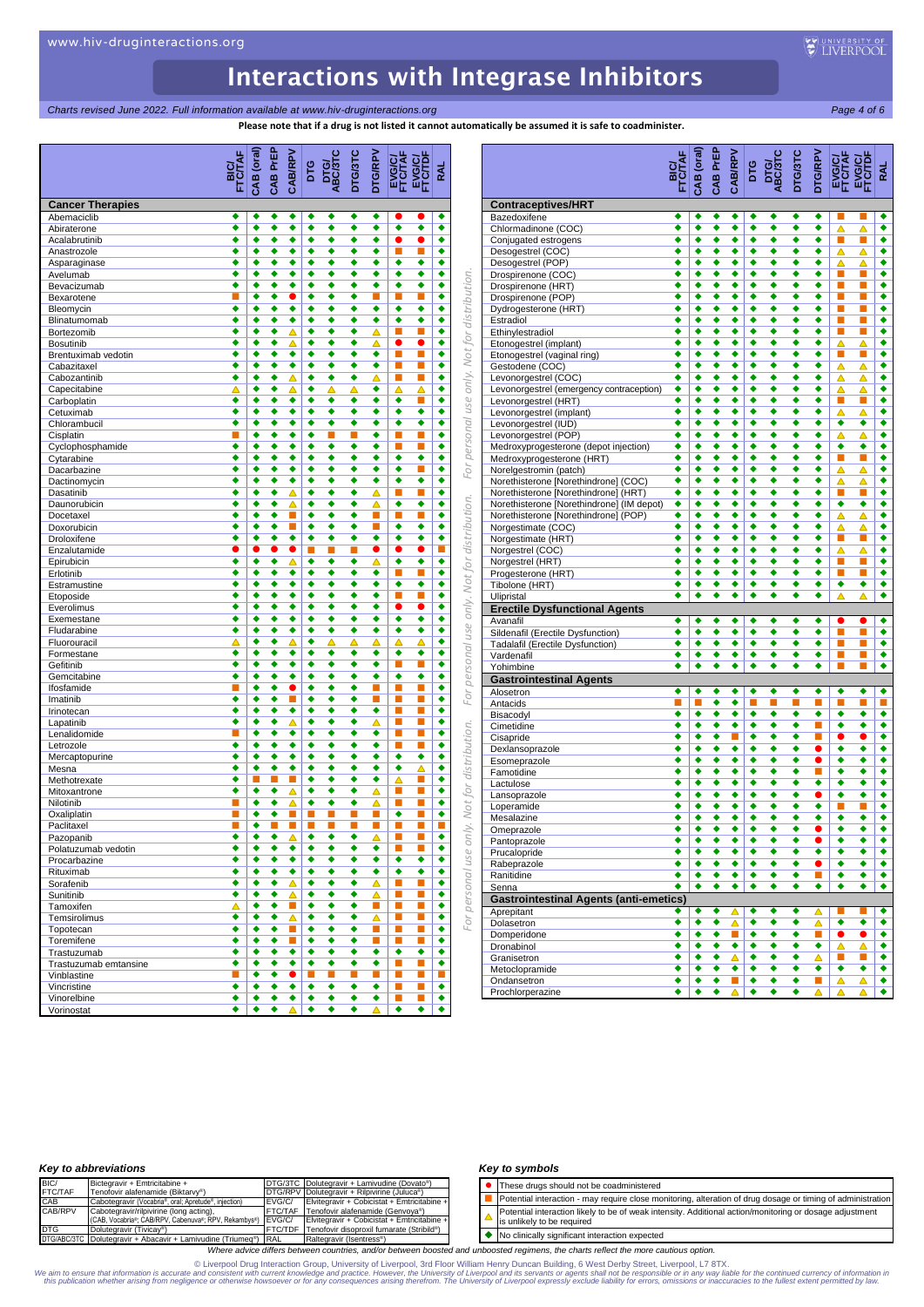**Charts revised June 2022. Full information available at www.hiv-druginteractions.org** Page 4 of 6<sup>2</sup>

**Please note that if a drug is not listed it cannot automatically be assumed it is safe to coadminister.**

UNIVERSITY OF

|                              | FTC/TAF   |           | CAB PrEP  |                           |                             |                        |                |                           |                      |                   |                      |
|------------------------------|-----------|-----------|-----------|---------------------------|-----------------------------|------------------------|----------------|---------------------------|----------------------|-------------------|----------------------|
|                              |           | CAB (oral |           | CAB/RPV                   | <b>DTG</b>                  | <b>DTG/</b><br>ABC/3TC | <b>DTG/3TC</b> | <b>DTG/RPV</b>            | EVG/C/<br>FTC/TAF    | EVG/C/<br>FTC/TDF | RAL                  |
| <b>Cancer Therapies</b>      |           |           |           |                           |                             |                        |                |                           |                      |                   |                      |
| Abemaciclib                  | ٠         | ٠         | ٠         | ٠                         | ٠                           | ٠                      | ٠              | ٠                         |                      |                   | ٠                    |
| Abiraterone                  | ٠         | ٠         | ٠         | ٠                         | ٠                           | ٠                      | ٠              | ٠                         | ٠                    | ٠                 | ٠                    |
| Acalabrutinib                | ٠         | ٠         | ٠         | ٠                         | ٠                           | ٠                      | ٠              | ٠                         |                      |                   | ٠                    |
| Anastrozole                  | ٠         | ٠         | ٠         | ٠                         | ٠                           | ٠                      | ٠              | ٠                         | П                    | п                 | ٠                    |
| Asparaginase                 | ٠         | ٠<br>٠    | ٠<br>٠    | ٠                         | ٠<br>٠                      | ٠<br>٠                 | ٠<br>٠         | ٠<br>٠                    | ٠<br>٠               | ٠<br>٠            | ٠                    |
| Avelumab<br>Bevacizumab      | ٠<br>٠    | ٠         | ٠         | ٠<br>٠                    | ٠                           | ٠                      | ٠              | ٠                         | ٠                    | ٠                 | ٠<br>٠               |
| Bexarotene                   | ш         | ٠         | ٠         |                           | ٠                           | ٠                      | ٠              | r.                        | ш                    | L.                | ٠                    |
| Bleomycin                    | ٠         | ٠         | ٠         | ٠                         | ٠                           | ٠                      | ٠              | ٠                         | ٠                    | ٠                 | ٠                    |
| Blinatumomab                 | ٠         | ٠         | ٠         | ٠                         | ٠                           | ٠                      | ٠              | ٠                         | ٠                    | ٠                 | ٠                    |
| Bortezomib                   | ٠         | ٠         | ٠         | Δ                         | ٠                           | ٠                      | ٠              | Δ                         | П                    | П                 | ٠                    |
| <b>Bosutinib</b>             | ٠         | ٠         | ٠         | Δ                         | ٠                           | ٠                      | ٠              | Δ                         |                      |                   | ٠                    |
| Brentuximab vedotin          | ٠         | ٠         | ٠         | ٠                         | ٠                           | ٠                      | ٠              | ٠                         | П                    | п                 | ٠                    |
| Cabazitaxel                  | ٠<br>٠    | ٠<br>٠    | ٠<br>٠    | ٠<br>Δ                    | ٠<br>٠                      | ٠<br>٠                 | ٠<br>٠         | ٠<br>△                    | П<br>П               | п<br>п            | ٠<br>٠               |
| Cabozantinib<br>Capecitabine | Δ         | ٠         | ٠         | Δ                         | ٠                           | Δ                      | Δ              | ٠                         | Δ                    | Δ                 | ٠                    |
| Carboplatin                  | ٠         | ٠         | ٠         | ٠                         | ٠                           | ٠                      | ٠              | ٠                         | ٠                    | п                 | ٠                    |
| Cetuximab                    | ٠         | ٠         | ٠         | ٠                         | ٠                           | ٠                      | ٠              | ٠                         | ٠                    | ٠                 | ٠                    |
| Chlorambucil                 | ٠         | ٠         | ٠         | ٠                         | ٠                           | ٠                      | ٠              | ٠                         | ٠                    | ٠                 | ٠                    |
| Cisplatin                    | П         | ٠         | ٠         | ٠                         | ٠                           | п                      | П              | $\overline{\bullet}$      | П                    |                   | $\overline{\bullet}$ |
| Cyclophosphamide             | ٠         | ٠         | ٠         | ٠                         | ٠                           | ٠                      | ٠              | ٠                         | п                    | п                 | ٠                    |
| Cytarabine                   | ٠         | ٠         | ٠         | ٠                         | ٠                           | ٠                      | ٠              | ٠                         | ٠                    | ٠                 | ٠                    |
| Dacarbazine                  | ٠         | ٠         | ٠         | ٠                         | ٠                           | ٠                      | ٠              | ٠                         | ٠                    | П                 | ٠                    |
| Dactinomycin                 | ٠         | ٠<br>٠    | ٠<br>٠    | ٠                         | ٠<br>٠                      | ٠<br>٠                 | ٠              | ٠                         | ٠                    | ٠                 | ٠<br>٠               |
| Dasatinib<br>Daunorubicin    | ٠<br>٠    | ٠         | ٠         | Δ<br>Δ                    | ٠                           | ٠                      | ٠<br>٠         | Δ<br>Δ                    | П<br>٠               | ٠                 | ٠                    |
| Docetaxel                    | ٠         | ٠         | ٠         | $\blacksquare$            | ٠                           | ٠                      | ٠              | D.                        | П                    | П                 | ٠                    |
| Doxorubicin                  | ٠         | ٠         | ٠         | п                         | ٠                           | ٠                      | ٠              | п                         | ٠                    | ٠                 | ٠                    |
| Droloxifene                  | ٠         | ٠         | ٠         | ٠                         | ٠                           | ٠                      | ٠              | ٠                         | ٠                    | ٠                 | ٠                    |
| Enzalutamide                 | $\bullet$ | $\bullet$ | $\bullet$ | $\bullet$                 | п                           | п                      | П              | $\bullet$                 | $\bullet$            | $\bullet$         | п                    |
| Epirubicin                   | ٠         | ٠         | ٠         | Δ                         | ٠                           | ٠                      | ٠              | Δ                         | $\overline{\bullet}$ | ٠                 | ٠                    |
| Erlotinib                    | ٠         | ٠         | ٠         | ٠                         | ٠                           | ٠                      | ٠              | ٠                         | П                    | П                 | ٠                    |
| Estramustine                 | ٠         | ٠         | ٠         | ٠                         | ٠                           | ٠                      | ٠              | ٠                         | ٠                    | ٠                 | ٠                    |
| Etoposide                    | ٠         | ٠<br>٠    | ٠<br>٠    | ٠<br>٠                    | ٠                           | ٠<br>٠                 | ٠<br>٠         | ٠<br>٠                    | П                    | П                 | ٠                    |
| Everolimus<br>Exemestane     | ٠<br>٠    | ٠         | ٠         | ٠                         | ٠<br>٠                      | ٠                      | ٠              | ٠                         | ٠                    | ٠                 | ٠<br>٠               |
| Fludarabine                  | ٠         | ٠         | ٠         | ٠                         | ٠                           | ٠                      | ٠              | ٠                         | ٠                    | ٠                 | ٠                    |
| Fluorouracil                 | Δ         | ٠         | ٠         | ▵                         | ٠                           | ▵                      | △              | ▵                         | △                    | ▵                 | ٠                    |
| Formestane                   | ٠         | ٠         | ٠         | ٠                         | ٠                           | ٠                      | ٠              | ٠                         | ٠                    | ٠                 | ٠                    |
| Gefitinib                    | ٠         | ٠         | ٠         | ٠                         | ٠                           | ٠                      | ٠              | ٠                         | П                    | П                 | ٠                    |
| Gemcitabine                  | ٠         | ٠         | ٠         | ٠                         | ٠                           | ٠                      | ٠              | ٠                         | ٠                    | ٠                 | ٠                    |
| Ifosfamide                   |           | ٠         | ٠         | $\bullet$                 | ٠                           | ٠                      | ٠              | ш                         | П                    |                   | ٠                    |
| Imatinib                     | ٠<br>٠    | ٠<br>٠    | ٠<br>٠    | п<br>$\overline{\bullet}$ | ٠<br>$\overline{\bullet}$   | ٠<br>٠                 | ٠<br>٠         | п<br>$\overline{\bullet}$ | П<br>П               | П                 | ٠<br>◆               |
| Irinotecan<br>Lapatinib      | ٠         | ٠         | ٠         | Δ                         | ٠                           | ٠                      | ٠              | Δ                         | П                    | п                 | ٠                    |
| Lenalidomide                 |           | ٠         | ٠         | ٠                         | ٠                           | ٠                      | ٠              | ٠                         | П                    |                   | ٠                    |
| Letrozole                    | ٠         | ٠         | ٠         | ٠                         | ٠                           | ٠                      | ٠              | ٠                         | П                    | п                 | ٠                    |
| Mercaptopurine               | ٠         | ٠         | ٠         | ٠                         | ٠                           | ٠                      | ٠              | ٠                         | ٠                    | ٠                 | ٠                    |
| Mesna                        | ٠         | ٠         | ٠         | ٠                         | ٠                           | ٠                      | ٠              | ٠                         | ٠                    | ▵                 | ٠                    |
| Methotrexate                 | ٠         | П         |           | ▬                         | ٠                           | ٠                      | ٠              | ٠                         | Δ                    |                   | ٠                    |
| Mitoxantrone                 | ٠         | ٠         | ٠         | Δ                         | ٠                           | ٠                      | ٠              | △                         | П                    | п                 | ٠                    |
| Nilotinib                    | п         | ٠         | ٠         | Δ                         | ٠                           | ٠                      | ٠              | Δ                         | П                    | п                 | ٠                    |
| Oxaliplatin                  | П         | ٠         | ٠         | п                         | п                           | $\mathbb{Z}$           | П              | п                         | ٠                    | ■                 | ٠                    |
| Paclitaxel<br>Pazopanib      | ٠         | ٠         | ٠         | Δ                         | ٠                           | ٠                      | ٠              | Δ                         | $\blacksquare$       | ■                 | ٠                    |
| Polatuzumab vedotin          | ٠         | ٠         | ٠         | ٠                         | ٠                           | ٠                      | ٠              | ٠                         | ш                    | п                 | ٠                    |
| Procarbazine                 | ٠         | ٠         | ٠         | ٠                         | ٠                           | ٠                      | ٠              | ٠                         | ٠                    | ٠                 | ٠                    |
| Rituximab                    | ٠         | ٠         | ٠         | ٠                         | ٠                           | ٠                      | ٠              | ٠                         | ٠                    | ٠                 | ٠                    |
| Sorafenib                    | ٠         | ٠         | ٠         | Δ                         | ٠                           | ٠                      | ٠              | Δ                         | L.                   | О                 | ٠                    |
| Sunitinib                    | ٠         | ٠         | ٠         | Δ                         | ٠                           | ٠                      | ٠              | Δ                         | u.                   | п                 | ٠                    |
| Tamoxifen                    | Δ         | ٠         | ٠         | <b>I</b>                  | ٠                           | ٠                      | ٠              | <b>C</b>                  | u.                   | п                 | ٠                    |
| Temsirolimus<br>Topotecan    | ٠<br>٠    | ٠<br>٠    | ٠<br>٠    | Δ<br>$\blacksquare$       | ٠<br>٠                      | ٠<br>٠                 | ٠<br>٠         | Δ<br>$\blacksquare$       | п<br>u.              | п                 | ٠<br>٠               |
| Toremifene                   | ٠         | ٠         | ٠         | п                         | ٠                           | ٠                      | ٠              | п                         | ш                    | п                 | ٠                    |
| Trastuzumab                  | ٠         | ٠         | ٠         | ٠                         | ٠                           | ٠                      | ٠              | ٠                         | ٠                    | ٠                 | ٠                    |
| Trastuzumab emtansine        | ٠         | ٠         | ٠         | ٠                         | ٠                           | ٠                      | ٠              | ٠                         | П                    | п                 | ٠                    |
| Vinblastine                  | ×         | ٠         | ٠         | $\bullet$                 | $\mathcal{L}_{\mathcal{A}}$ | П                      | П              | П                         | T.                   | П                 | П                    |
| Vincristine                  | ٠         | ٠         | ٠         | ٠                         | ٠                           | ٠                      | ٠              | ٠                         | п                    | п                 | ٠                    |
| Vinorelbine                  | ٠         | ٠         | ٠         | ٠                         | ٠                           | ٠                      | ٠              | ٠                         | <b>I</b>             | п                 | ٠                    |
| Vorinostat                   | ٠         | ٠         | ٠         | Δ                         | ٠                           | ٠                      | ٠              | Δ                         | ٠                    | ٠                 | ٠                    |

|                                                        |        | CAB (oral            | CAB PrEP | CAB/RPV | DТG    | DTG/<br>NBC/3TC | <b>DTG/3TC</b> | <b>DTG/RPV</b> |                             |                             | RAL                       |
|--------------------------------------------------------|--------|----------------------|----------|---------|--------|-----------------|----------------|----------------|-----------------------------|-----------------------------|---------------------------|
| <b>Contraceptives/HRT</b>                              |        |                      |          |         |        |                 |                |                |                             |                             |                           |
| Bazedoxifene                                           | ٠      | ٠                    | ٠        | ٠       | ٠      | ٠               | ٠              | ٠              |                             |                             | ٠                         |
| Chlormadinone (COC)                                    | ٠      | ٠                    | ٠        | ٠       | ٠      | ٠               | ٠              | ٠              | Δ                           | Δ                           | ٠                         |
| Conjugated estrogens                                   | ٠      | ٠                    | ٠        | ٠       | ٠      | ٠               | ٠              | ٠              | п                           | m.                          | ٠                         |
| Desogestrel (COC)                                      | ٠      | $\overline{\bullet}$ | ٠        | ٠       | ٠      | ٠               | ٠              | ٠              | Δ                           | Δ                           | $\overline{\bullet}$      |
| Desogestrel (POP)                                      | ٠      | ٠                    | ٠        | ٠       | ٠      | ٠               | ٠              | ٠              | Δ                           | Δ                           | ٠                         |
| Drospirenone (COC)                                     | ٠<br>٠ | ٠<br>٠               | ٠<br>٠   | ٠<br>٠  | ٠<br>٠ | ٠<br>٠          | ٠<br>٠         | ٠<br>٠         | п<br>п                      | п<br>п                      | ٠<br>٠                    |
| Drospirenone (HRT)<br>Drospirenone (POP)               | ٠      | ٠                    | ٠        | ٠       | ٠      | ٠               | ٠              | ٠              | П                           | п                           | ٠                         |
| Dydrogesterone (HRT)                                   | ٠      | ٠                    | ٠        | ٠       | ٠      | ٠               | ٠              | ٠              | П                           | п                           | ٠                         |
| Estradiol                                              |        | ٠                    | ٠        | ٠       | ٠      | ٠               | ٠              | ٠              | п                           | п                           | ٠                         |
| Ethinylestradiol                                       | ٠      | ٠                    | ٠        | ٠       | ٠      | ٠               | ٠              | ٠              | <b>In</b>                   | п                           | ٠                         |
| Etonogestrel (implant)                                 | ٠      | ٠                    | ٠        | ٠       | ٠      | ٠               | ٠              | ٠              | Δ                           | Δ                           | ٠                         |
| Etonogestrel (vaginal ring)                            | ٠      | ٠                    | ٠        | ٠       | ٠      | ٠               | ٠              | ٠              | ú                           | E.                          | ٠                         |
| Gestodene (COC)                                        | ٠      | ٠                    | ٠        | ٠       | ٠      | ٠               | ٠              | ٠              | Δ                           | Δ                           | ٠                         |
| Levonorgestrel (COC)                                   | ٠      | ٠                    | ٠        | ٠       | ٠      | ٠               | ٠              | ٠              | Δ                           | Δ                           | ٠                         |
| Levonorgestrel (emergency contraception)               | ٠      | ٠                    | ٠        | ٠       | ٠      | ٠               | ٠              | ٠              | Δ                           | Δ                           | ٠                         |
| Levonorgestrel (HRT)                                   | ٠      | ٠                    | ٠        | ٠       | ٠      | ٠               | ٠              | ٠              | П                           | П                           | ٠                         |
| Levonorgestrel (implant)                               | ٠<br>٠ | ٠                    | ٠        | ٠<br>٠  | ٠      | ٠<br>٠          | ٠              | ٠<br>٠         | Δ                           | Δ                           | ٠<br>٠                    |
| Levonorgestrel (IUD)<br>Levonorgestrel (POP)           | ٠      | ٠<br>٠               | ٠<br>٠   | ٠       | ٠<br>٠ | ٠               | ٠<br>٠         | ٠              | ٠<br>Δ                      | ٠<br>Δ                      | ٠                         |
| Medroxyprogesterone (depot injection)                  | ٠      | ٠                    | ٠        | ٠       | ٠      | ٠               | ٠              | ٠              | ٠                           | ٠                           | ٠                         |
| Medroxyprogesterone (HRT)                              | ٠      | ٠                    | ٠        | ٠       | ٠      | ٠               | ٠              | ٠              | П                           | п                           | ٠                         |
| Norelgestromin (patch)                                 | ٠      | ٠                    | ٠        | ٠       | ٠      | ٠               | ٠              | ٠              | Δ                           | Δ                           | ٠                         |
| Norethisterone [Norethindrone] (COC)                   | ٠      | ٠                    | ٠        | ٠       | ٠      | ٠               | ٠              | ٠              | Δ                           | Δ                           | ٠                         |
| Norethisterone [Norethindrone] (HRT)                   |        | ٠                    | ٠        | ٠       | ٠      | ٠               | ٠              | ٠              | п                           | п                           | ٠                         |
| Norethisterone [Norethindrone] (IM depot)              | ٠      | ٠                    | ٠        | ٠       | ٠      | ٠               | ٠              | ٠              | ٠                           | ٠                           | ٠                         |
| Norethisterone [Norethindrone] (POP)                   |        | ٠                    |          |         | ٠      |                 |                | ٠              | Δ                           | Δ                           | ٠                         |
| Norgestimate (COC)                                     | ٠      | ٠                    | ٠        | ٠       | ٠      | ٠               | ٠              | ٠              | Δ                           | Δ                           | ٠                         |
| Norgestimate (HRT)                                     | ٠      | ٠                    | ٠        | ٠       | ٠      | ٠               | ٠              | ٠              | п                           | п                           | ٠                         |
| Norgestrel (COC)                                       | ٠<br>٠ | ٠<br>٠               | ٠<br>٠   | ٠<br>٠  | ٠<br>٠ | ٠<br>٠          | ٠<br>٠         | ٠<br>٠         | Δ<br>П                      | Δ                           | ٠<br>$\overline{\bullet}$ |
| Norgestrel (HRT)                                       | ٠      | ٠                    | ٠        | ٠       | ٠      | ٠               | ٠              | ٠              | п                           |                             | $\overline{\bullet}$      |
| Progesterone (HRT)<br>Tibolone (HRT)                   | ٠      | ٠                    | ٠        | ٠       | ٠      | ٠               | ٠              | ٠              | ٠                           | ٠                           | ٠                         |
| Ulipristal                                             | ٠      | ٠                    | ٠        | ٠       | ٠      | ٠               | ٠              | ٠              | Δ                           | Δ                           | ٠                         |
| <b>Erectile Dysfunctional Agents</b>                   |        |                      |          |         |        |                 |                |                |                             |                             |                           |
| Avanafil                                               | ٠      | ٠                    | ٠        | ٠       | ٠      | ٠               | ٠              | ٠              |                             |                             | ٠                         |
| Sildenafil (Erectile Dysfunction)                      | ٠      | ٠                    | ٠        | ٠       | ٠      | ٠               | ٠              | ٠              | п                           | п                           | ٠                         |
| Tadalafil (Erectile Dysfunction)                       | ٠      | ٠                    | ٠        | ٠       | ٠      | ٠               | ٠              | ٠              | п                           | п                           | ٠                         |
| Vardenafil                                             |        | ٠                    |          | ٠       | ٠      |                 |                |                | п                           | п                           | ٠                         |
| Yohimbine                                              | ٠      | ٠                    | ٠        | ٠       | ٠      | ٠               | ٠              | ٠              |                             |                             | ٠                         |
| <b>Gastrointestinal Agents</b>                         |        |                      |          |         |        |                 |                |                |                             |                             |                           |
| Alosetron                                              | ٠      | ٠                    | ٠        | ٠       | ٠      | ٠               | ٠              | ٠              | ٠                           | ٠                           | ٠                         |
| Antacids                                               |        | П                    | ٠        | ٠       | П      |                 |                |                | П                           |                             | П                         |
| Bisacodyl                                              | ٠      | ٠                    | ٠        | ٠       | ٠      | ٠               | ٠              | ٠              | ٠                           | ٠                           | ٠                         |
| Cimetidine                                             | ٠      | ٠                    | ٠        | ٠       | ٠      | ٠               | ٠              | п              | ٠                           | ٠                           | ٠                         |
| Cisapride                                              | ٠<br>٠ | ٠<br>٠               | ٠<br>٠   | п<br>٠  | ٠<br>٠ | ٠<br>٠          | ٠<br>٠         | п<br>$\bullet$ | $\bullet$<br>٠              | $\bullet$<br>٠              | ٠<br>٠                    |
| Dexlansoprazole<br>Esomeprazole                        | ٠      | ٠                    | ٠        | ٠       | ٠      | ٠               | ٠              | $\bullet$      | ٠                           | ٠                           | ٠                         |
| Famotidine                                             | ٠      | ٠                    | ٠        | ٠       | ٠      | ٠               | ٠              | ×              | ٠                           | ٠                           | ٠                         |
| Lactulose                                              | ٠      | ٠                    | ٠        | ٠       | ٠      | ٠               | ٠              | ٠              | ٠                           | ٠                           | ٠                         |
| Lansoprazole                                           |        | ٠                    |          | ٠       | ٠      |                 |                |                | ٠                           | ٠                           | ٠                         |
| Loperamide                                             | ٠      | ٠                    | ٠        | ٠       | ٠      | ٠               | ٠              | ٠              | ■                           | П                           | ٠                         |
| Mesalazine                                             | ٠      | ٠                    | ٠        | ٠       | ٠      | ٠               | ٠              | ٠              | ٠                           | ٠                           | ٠                         |
| Omeprazole                                             | ٠      | ٠                    | ٠        | ٠       | ٠      | ٠               | ٠              | $\bullet$      | ٠                           | ٠                           | ٠                         |
| Pantoprazole                                           |        |                      |          | ٠       |        |                 |                |                |                             |                             | ٠                         |
| Prucalopride                                           | ٠      | ٠                    | ٠        | ٠       | ٠      | ٠               | ٠              | ٠              | ٠                           | ٠                           | ٠                         |
| Rabeprazole                                            | ٠      | ٠                    | ٠        | ٠       | ٠      | ٠               | ٠              | $\bullet$      | ٠                           | ٠                           | ٠                         |
| Ranitidine                                             | ٠      | ٠<br>٠               | ٠<br>٠   | ٠<br>٠  | ٠<br>٠ | ٠<br>٠          | ٠<br>٠         | П<br>٠         | ٠<br>٠                      | ٠<br>٠                      | ٠                         |
| Senna<br><b>Gastrointestinal Agents (anti-emetics)</b> | ٠      |                      |          |         |        |                 |                |                |                             |                             | ٠                         |
| Aprepitant                                             |        | ٠                    |          | Δ       |        | ٠               | ٠              | Δ              | П                           | п                           | ٠                         |
| Dolasetron                                             | ٠      | ٠                    | ٠        | Δ       | ٠      | ٠               | ٠              | Δ              | ٠                           | ٠                           | ٠                         |
| Domperidone                                            | ٠      | ٠                    | ٠        | ш       | ٠      | ٠               | ٠              | п              | $\bullet$                   | $\bullet$                   | ٠                         |
| Dronabinol                                             | ٠      | ٠                    | ٠        | ۰       | ٠      | ٠               | ٠              | ٠              | Δ                           | Δ                           | ٠                         |
| Granisetron                                            | ٠      | ٠                    | ٠        | Δ       | ٠      | ٠               | ٠              | Δ              | $\mathcal{L}_{\mathcal{A}}$ | $\mathcal{L}_{\mathcal{A}}$ | ٠                         |
| Metoclopramide                                         | ٠      | ٠                    | ٠        | ٠       | ٠      | ٠               | ٠              | ٠              | ٠                           | ٠                           | ٠                         |
| Ondansetron                                            | ٠      | ٠                    | ٠        | u.      | ٠      | ٠               | ٠              | m.             | Δ                           | Δ                           | ٠                         |
| Prochlorperazine                                       | ٠      | ٠                    | ٠        | Δ       | ٠      | ٠               | ۰              | Δ              | Δ                           | Δ                           | ٠                         |

### *Key to abbreviations*

| BIC/       | Bictegravir + Emtricitabine +                                                               |        | DTG/3TC Dolutegravir + Lamivudine (Dovato®)           |
|------------|---------------------------------------------------------------------------------------------|--------|-------------------------------------------------------|
| FTC/TAF    | Tenofovir alafenamide (Biktarvv®)                                                           |        | DTG/RPV Dolutegravir + Rilpivirine (Juluca®)          |
| CAB        | Cabotegravir (Vocabria®, oral; Apretude®, injection)                                        | EVG/C/ | Elvitegravir + Cobicistat + Emtricitabine +           |
| CAB/RPV    | Cabotegravir/rilpivirine (long acting),                                                     |        | FTC/TAF Tenofovir alafenamide (Genvova <sup>®</sup> ) |
|            | (CAB, Vocabria <sup>®</sup> ; CAB/RPV, Cabenuva <sup>®</sup> ; RPV, Rekambys <sup>®</sup> ) | EVG/C/ | Elvitegravir + Cobicistat + Emtricitabine +           |
| <b>DTG</b> | Dolutegravir (Tivicav <sup>®</sup> )                                                        |        | FTC/TDF Tenofovir disoproxil fumarate (Stribild®)     |
|            | DTG/ABC/3TC Dolutegravir + Abacavir + Lamivudine (Triumeg <sup>®)</sup> RAL                 |        | Raltegravir (Isentress <sup>®</sup> )                 |

### *Key to symbols*

● These drugs should not be coadministered

- Potential interaction may require close monitoring, alteration of drug dosage or timing of administration
- Potential interaction likely to be of weak intensity. Additional action/monitoring or dosage adjustment  $\blacktriangle$ is unlikely to be required
- ◆ No clinically significant interaction expected

*Where advice differs between countries, and/or between boosted and unboosted regimens, the charts reflect the more cautious option.*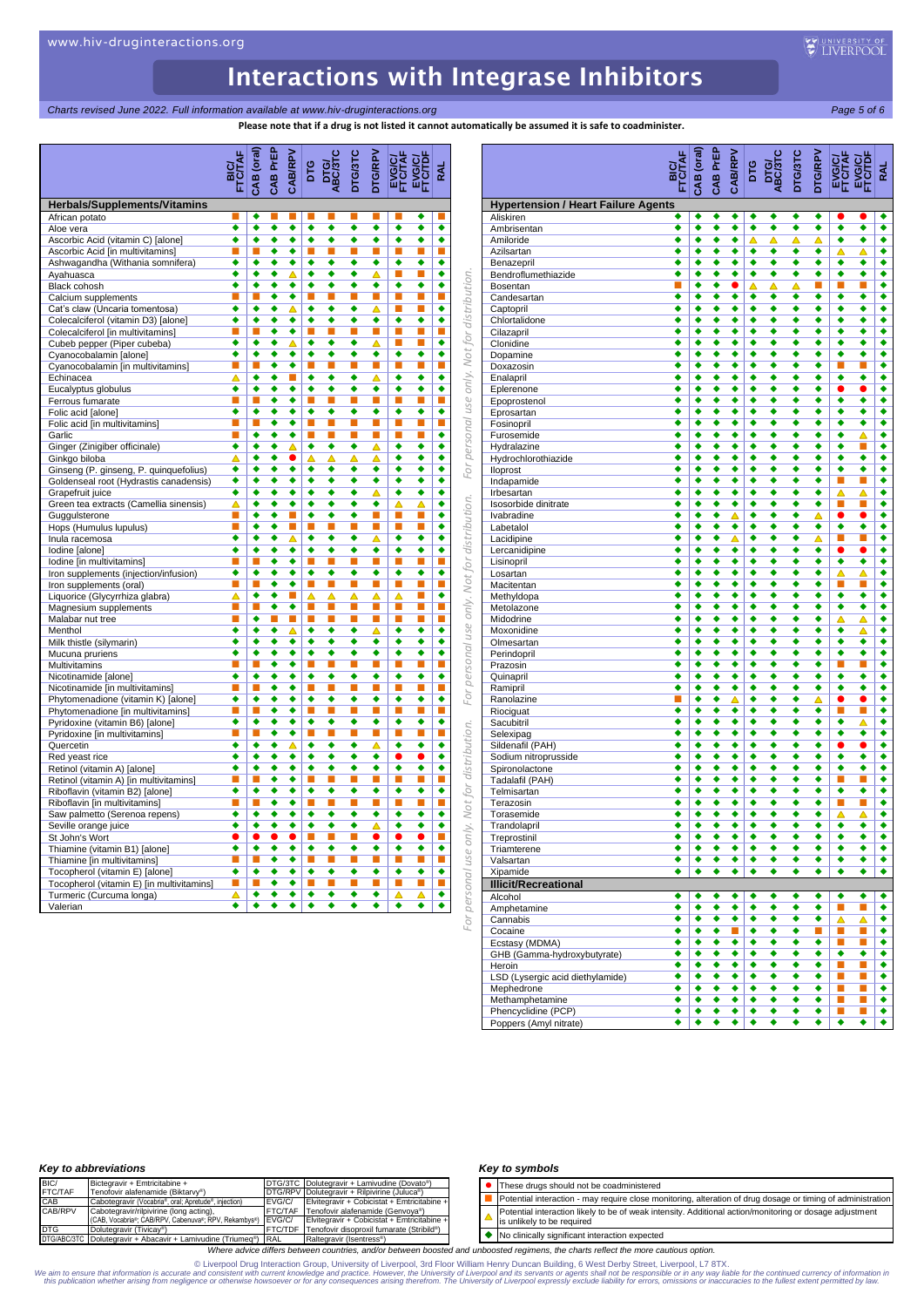*Charts revised June 2022. Full information available at www.hiv-druginteractions.org Page 5 of 6*

**Please note that if a drug is not listed it cannot automatically be assumed it is safe to coadminister.**

UNIVERSITY OF

|                                                               |                      | CAB (oral | CAB PrEP             | CABRPV               | bтG    | DTG/<br>ABC/3TC      | <b>DTG/3TC</b>            | <b>DTG/RPV</b> |                           |                      |                           | 읊                                            |
|---------------------------------------------------------------|----------------------|-----------|----------------------|----------------------|--------|----------------------|---------------------------|----------------|---------------------------|----------------------|---------------------------|----------------------------------------------|
|                                                               | FTC/TA               |           |                      |                      |        |                      |                           |                | EVG/C/<br>FTC/TAF         | EVG/C/<br>FTC/TDF    |                           |                                              |
| <b>Herbals/Supplements/Vitamins</b>                           |                      |           |                      |                      |        |                      |                           |                |                           |                      |                           | <b>Hypertension / Heart Failure Agents</b>   |
| African potato                                                | ш                    | ٠         |                      |                      |        |                      |                           |                |                           | ٠                    |                           | Aliskiren                                    |
| Aloe vera                                                     | ٠                    | ٠         | ٠                    | ٠                    | ٠      | ٠                    | ٠                         | ٠              | ٠                         | ٠                    | ٠                         | Ambrisentan                                  |
| Ascorbic Acid (vitamin C) [alone]                             | ٠                    | ٠         | ٠                    | ٠                    | ٠      | ٠                    | ٠                         | ٠              | $\overline{\bullet}$      | ∙                    | $\overline{\bullet}$      | Amiloride                                    |
| Ascorbic Acid [in multivitamins]                              | ■                    | П         | ٠                    | ٠                    | п      | п                    | ш                         | ▄              | П                         | п                    | П                         | Azilsartan                                   |
| Ashwagandha (Withania somnifera)                              | ٠<br>٠               | ٠<br>٠    | ٠<br>٠               | ٠                    | ٠      | ٠<br>٠               | ٠                         | ٠              | ٠                         | ٠<br>П               | ◆<br>$\overline{\bullet}$ | Benazepril                                   |
| Ayahuasca                                                     | ٠                    | ٠         | ٠                    | Δ<br>٠               | ٠<br>4 | $\overline{\bullet}$ | ٠<br>$\overline{\bullet}$ | Δ<br>٠         | П<br>$\overline{\bullet}$ | $\overline{\bullet}$ | ٠                         | Bendroflumethiazide                          |
| Black cohosh<br>Calcium supplements                           |                      |           | ٠                    | ٠                    | г      | П                    | П                         | п              | П                         | П                    | П                         | Bosentan<br>Candesartan                      |
| Cat's claw (Uncaria tomentosa)                                | ٠                    | ٠         | ٠                    | Δ                    | ٠      | ٠                    | ٠                         | Δ              | П                         | п                    | ٠                         | Captopril                                    |
| Colecalciferol (vitamin D3) [alone]                           | ٠                    | ٠         | ٠                    | ٠                    | ٠      | ∙                    | ٠                         | ٠              | $\overline{\bullet}$      | ٠                    | ٠                         | for distribution.<br>Chlortalidone           |
| Colecalciferol [in multivitamins]                             |                      |           | ٠                    | ٠                    |        | П                    | г                         |                | П                         | п                    | П                         | Cilazapril                                   |
| Cubeb pepper (Piper cubeba)                                   | ٠                    | ٠         | ٠                    | Δ                    | ٠      | ٠                    | ٠                         | ∧              | П                         | п                    | ٠                         | Clonidine                                    |
| Cyanocobalamin [alone]                                        | ٠                    | ٠         | ٠                    | ٠                    | ∙      | ٠                    | ٠                         | ٠              | $\overline{\bullet}$      | ٠                    | ◆                         | Not <sub>1</sub><br>Dopamine                 |
| Cyanocobalamin [in multivitamins]                             | п                    | п         | ٠                    | ٠                    | п      | П                    | ■                         | п              | П                         | п                    | п                         | Doxazosin                                    |
| Echinacea                                                     | $\triangle$          | ٠         | ٠                    | п                    | ٠      | ٠                    | ٠                         | Δ              | ٠                         | ٠                    | ◆                         | use only.<br>Enalapril                       |
| Eucalyptus globulus                                           | ٠                    | ٠         | ٠                    | ٠                    | ٠      | ∙                    | ٠                         | ٠              | $\overline{\bullet}$      | $\overline{\bullet}$ | ∙                         | Eplerenone                                   |
| Ferrous fumarate                                              | п                    | U.        | ٠                    | ٠                    | п      | п                    | П                         | п              | u,                        | L.                   | П                         | Epoprostenol                                 |
| Folic acid [alone]                                            | ٠                    | ٠         | ٠                    | ٠                    | ٠      | ٠                    | ٠                         | ٠              | $\overline{\bullet}$      | ◆                    | ◆                         | Eprosartan                                   |
| Folic acid [in multivitamins]                                 | п                    | п         | ٠                    | ٠                    | п      | п                    | п                         | п              | П                         | П                    | П                         | personal<br>Fosinopril                       |
| Garlic                                                        |                      | ٠         | ٠                    | ٠                    |        | П                    | П                         | п              | П                         | П                    | $\overline{\bullet}$      | Furosemide                                   |
| Ginger (Zinigiber officinale)                                 | $\overline{\bullet}$ | ٠         | ٠<br>٠               | Δ                    | ٠      | ◆                    | ٠                         | Δ              | ◆<br>$\overline{\bullet}$ | ◆                    | ◆                         | Hydralazine                                  |
| Ginkgo biloba                                                 | Δ                    | ٠         |                      | ●                    | Δ      | Δ                    | Δ                         | Δ              |                           | ٠                    | $\overline{\bullet}$      | Hydrochlorothiazide                          |
| Ginseng (P. ginseng, P. quinquefolius)                        | ٠<br>٠               | ٠<br>٠    | ٠<br>٠               | ٠<br>٠               | ٠<br>٠ | ٠<br>٠               | ٠<br>٠                    | ٠<br>٠         | ٠<br>٠                    | ٠<br>٠               | ٠<br>٠                    | For<br><b>Iloprost</b>                       |
| Goldenseal root (Hydrastis canadensis)<br>Grapefruit juice    | ٠                    | ٠         | ٠                    | ٠                    | 4      | ٠                    | ٠                         | Δ              | ٠                         | ٠                    | ◆                         | Indapamide<br>Irbesartan                     |
| Green tea extracts (Camellia sinensis)                        | Λ                    | ٠         | ٠                    | ٠                    | ٠      | ٠                    | ٠                         | ٠              | Δ                         | Δ                    | $\overline{\bullet}$      | Isosorbide dinitrate                         |
| Guggulsterone                                                 | п                    | ٠         | ٠                    | п                    | ٠      | ۵                    | ٠                         | п              | П                         | m.                   | $\overline{\bullet}$      | Ivabradine                                   |
| Hops (Humulus lupulus)                                        | п                    | ٠         | ٠                    | п                    | г      | п                    | П                         | п              | П                         | П                    | $\overline{\bullet}$      | Labetalol                                    |
| Inula racemosa                                                | ٠                    | ٠         | ٠                    | Δ                    | ٠      | ٠                    | ٠                         | Δ              | ٠                         | ٠                    | ◆                         | Lacidipine                                   |
| Iodine [alone]                                                | ٠                    | ٠         | ٠                    | ٠                    | ٠      | ٠                    | ٠                         | ٠              | ٠                         | ◆                    | ٠                         | only. Not for distribution.<br>Lercanidipine |
| Iodine [in multivitamins]                                     | ■                    | г         | $\overline{\bullet}$ | $\overline{\bullet}$ | г      | П                    | П                         | П              | П                         | П                    | П                         | Lisinopril                                   |
| Iron supplements (injection/infusion)                         | ٠                    | ٠         | ٠                    | ٠                    | ٠      | ٠                    | ٠                         | ٠              | $\overline{\bullet}$      | ٠                    | ◆                         | Losartan                                     |
| Iron supplements (oral)                                       | п                    | П         | ٠                    | ٠                    | г      | П                    | П                         | п              | П                         | П                    | П                         | Macitentan                                   |
| Liquorice (Glycyrrhiza glabra)                                | Δ                    | ٠         | ٠                    | п                    | Δ      | △                    | Δ                         | Δ              | Δ                         | П                    | ٠                         | Methyldopa                                   |
| Magnesium supplements                                         | $\blacksquare$       |           | ٠                    | ٠                    | п      | П                    | П                         |                | П                         | $\blacksquare$       | L.                        | Metolazone                                   |
| Malabar nut tree                                              | п                    | ٠         |                      | ×                    | H.     | п                    | П                         | ■              | П                         | п                    | п                         | Midodrine                                    |
| Menthol                                                       | ٠                    | ٠         | ٠                    | Δ                    | ٠      | ٠                    | ٠                         | Δ              | ٠                         | ٠                    | ٠                         | <b>USe</b><br>Moxonidine                     |
| Milk thistle (silymarin)                                      | ٠<br>٠               | ٠<br>٠    | ٠<br>٠               | ٠<br>٠               | ٠<br>٠ | ٠<br>٠               | ٠<br>٠                    | ٠<br>٠         | ٠<br>٠                    | ٠<br>٠               | $\overline{\bullet}$<br>٠ | Olmesartan<br>personal                       |
| Mucuna pruriens                                               | п                    | п         | ٠                    | ٠                    | г      | п                    | П                         | ■              | П                         | П                    | П                         | Perindopril                                  |
| Multivitamins<br>Nicotinamide [alone]                         | ٠                    | ٠         | ٠                    | ٠                    | ٠      | ٠                    | ٠                         | ٠              | ٠                         | ٠                    | ٠                         | Prazosin<br>Quinapril                        |
| Nicotinamide [in multivitamins]                               |                      | П         | ٠                    | ٠                    | п      | п                    | П                         |                | П                         | п                    | П                         | Ramipril                                     |
| Phytomenadione (vitamin K) [alone]                            | ∙                    | ٠         | ∙                    | ◆                    | ∙      | ∙                    | $\overline{\bullet}$      | ∙              | $\overline{\bullet}$      | ◆                    | $\overline{\bullet}$      | For<br>Ranolazine                            |
| Phytomenadione [in multivitamins]                             | ■                    | г         | ٠                    | ٠                    | п      | п                    | П                         | ■              | П                         | п                    | П                         | Riociauat                                    |
| Pyridoxine (vitamin B6) [alone]                               | ٠                    | ٠         | ٠                    | ٠                    | ۵      | ٠                    | ٠                         | ٠              | ◆                         | ٠                    | ◆                         | Sacubitril                                   |
| Pyridoxine [in multivitamins]                                 | п                    | г         | ٠                    | ∙                    | г      | П                    | П                         | ■              | П                         | П                    | П                         | Selexipag                                    |
| Quercetin                                                     | ٠                    | ٠         | ٠                    | Δ                    | ٠      | ٠                    | ٠                         | Δ              | ٠                         | ٠                    | $\overline{\bullet}$      | Sildenafil (PAH)                             |
| Red yeast rice                                                | ٠                    | ٠         | ٠                    | ٠                    | ٠      | ٠                    | ٠                         | ٠              | $\bullet$                 | $\bullet$            | ◆                         | Sodium nitroprusside                         |
| Retinol (vitamin A) [alone]                                   | ٠                    | ٠         | ٠                    | ٠                    | ٠      | ٠                    | ٠                         | ٠              | ٠                         | ٠                    | $\overline{\bullet}$      | Spironolactone                               |
| Retinol (vitamin A) [in multivitamins]                        |                      | г         | ٠                    | ٠                    | г      | П                    | П                         | п              | П                         | п                    | П                         | Tadalafil (PAH)                              |
| Riboflavin (vitamin B2) [alone]                               | ٠                    | ٠         | ٠                    | ٠                    | ٠      | ٠                    | ٠                         | ٠              | ٠                         | ٠                    | ◆                         | Telmisartan                                  |
| Riboflavin [in multivitamins]                                 | п                    | П         | ٠                    | ٠                    | г      | п                    | П                         | ш              | П                         | П                    | П                         | Terazosin                                    |
| Saw palmetto (Serenoa repens)                                 | ٠                    | ٠         | ٠                    | ٠                    | ٠      | ٠                    | ٠                         | ٠              | ٠                         | ٠                    | ٠                         | only. Not for distribution.<br>Torasemide    |
| Seville orange juice                                          | ٠                    | ٠         | ٠                    | ٠<br>Ō               | ٠<br>г | ٠                    | ٠<br>г                    | Δ              | ٠                         | ٠                    | $\overline{\bullet}$      | Trandolapril                                 |
| St John's Wort                                                |                      | ٠         |                      |                      |        | Г                    |                           | ●              | $\overline{\bullet}$      | $\overline{\bullet}$ | П<br>$\overline{\bullet}$ | Treprostinil                                 |
| Thiamine (vitamin B1) [alone]                                 | ٠<br>п               | ٠<br>г    | ٠<br>٠               | ٠<br>٠               | ٠<br>п | ٠<br>п               | ٠<br>п                    | ٠<br>п         | ٠<br>П                    | ٠<br>п               | П                         | Triamterene                                  |
| Thiamine [in multivitamins]<br>Tocopherol (vitamin E) [alone] | ٠                    | ٠         | ٠                    | ٠                    | ٠      | ٠                    | ٠                         | ▲              | $\overline{\bullet}$      | ٠                    | $\overline{\bullet}$      | personal use<br>Valsartan<br>Xipamide        |
| Tocopherol (vitamin E) [in multivitamins]                     | п                    | г         | ٠                    | ٠                    | п      | п                    | п                         | п              | П                         | п                    | $\mathbb{R}^n$            |                                              |
| Turmeric (Curcuma longa)                                      | Δ                    | ٠         | ٠                    | ٠                    | ٠      | ٠                    | ٠                         | ٠              | Δ                         | Δ                    | ٠                         | <b>Illicit/Recreational</b><br>Alcohol       |
| Valerian                                                      | ٠                    | ٠         | ٠                    | ٠                    | ∙      | ∙                    | ٠                         | ٠              | $\overline{\bullet}$      | ٠                    | ∙                         | Amphetamine                                  |
|                                                               |                      |           |                      |                      |        |                      |                           |                |                           |                      |                           | ò<br>Cannabis                                |
|                                                               |                      |           |                      |                      |        |                      |                           |                |                           |                      |                           |                                              |

|                                            |        | CAB (oral | CAB PrEP             | CAB/RPV        | bтc    |        | <b>DTG/3TC</b> | <b>DTG/RPV</b> |                             |                | ₹                         |
|--------------------------------------------|--------|-----------|----------------------|----------------|--------|--------|----------------|----------------|-----------------------------|----------------|---------------------------|
| <b>Hypertension / Heart Failure Agents</b> |        |           |                      |                |        |        |                |                |                             |                |                           |
| Aliskiren                                  | ٠      | ٠         | ٠                    | ٠              | ٠      |        | ٠              | ٠              |                             |                | ٠                         |
| Ambrisentan<br>Amiloride                   | ٠<br>٠ | ٠<br>٠    | ٠<br>٠               | ٠<br>٠         | ٠<br>Δ | ٠<br>Δ | ٠<br>Δ         | ٠<br>Δ         | ٠<br>٠                      | ٠<br>٠         | ٠<br>٠                    |
| Azilsartan                                 | ٠      | ٠         | ٠                    | ٠              | ٠      | ٠      | ٠              | ٠              | △                           | △              | ٠                         |
| Benazepril                                 | ٠      |           | ٠                    | ٠              | ٠      | ٠      | ٠              | ٠              | ٠                           | ٠              | ٠                         |
| Bendroflumethiazide                        | ٠      | ٠         | ٠                    | ٠              | ٠      | ٠      | ٠              | ٠              | ٠                           | ٠              | ٠                         |
| Bosentan                                   | ٠      | ٠         | ٠<br>٠               | $\bullet$<br>٠ | Δ<br>٠ | Δ<br>٠ | Δ<br>٠         | ù.<br>٠        | п<br>٠                      | i.<br>٠        | ٠<br>◆                    |
| Candesartan<br>Captopril                   | ٠      | ٠         | ٠                    | ٠              | ٠      | ٠      | ٠              | ٠              | ٠                           | ٠              | ٠                         |
| Chlortalidone                              | ٠      | ٠         | ٠                    | ٠              | ٠      | ٠      | ٠              | ٠              | ٠                           | ٠              | ٠                         |
| Cilazapril                                 | ٠      | ٠         | ٠                    | ٠              | ٠      | ٠      | ٠              | ٠              | ٠                           | ٠              | ٠                         |
| Clonidine                                  | ٠      | ٠         | ٠                    | ٠              | ٠      | ٠      | ٠              | ٠              | ٠                           | ٠              | ٠                         |
| Dopamine                                   | ٠      | ٠         | ٠                    | ٠              | ٠      | ٠      | ٠              | ٠              | ٠                           | ٠              | ٠                         |
| Doxazosin                                  | ٠<br>٠ | ٠<br>٠    | ٠<br>٠               | ٠<br>٠         | ٠<br>٠ | ٠<br>٠ | ٠<br>٠         | ٠<br>٠         | ■<br>٠                      | п<br>٠         | ٠<br>٠                    |
| Enalapril<br>Eplerenone                    | ٠      | ٠         | ٠                    | ٠              | ٠      | ٠      | ٠              | ٠              | 0                           | Ò              | $\overline{\bullet}$      |
| Epoprostenol                               | ٠      | ٠         | ٠                    | ٠              | ٠      | ٠      | ٠              | ٠              | ٠                           | ٠              | ٠                         |
| Eprosartan                                 | ٠      | ٠         | ٠                    | ٠              | ٠      | ٠      | ٠              | ٠              | ٠                           | ٠              | ٠                         |
| Fosinopril                                 | ٠      | ٠         | ٠                    | ٠              | ٠      | ٠      | ٠              | ٠              | ٠                           | ٠              | ٠                         |
| Furosemide                                 | ٠      | ٠         | ٠                    | ٠              | ٠      | ٠      | ٠              | ٠              | ٠                           | Δ              | ٠                         |
| Hydralazine                                | ٠      | ٠         | ٠                    | ٠              | ٠      | ٠      | ٠              | ٠              | ٠                           | $\blacksquare$ | ٠                         |
| Hydrochlorothiazide<br>lloprost            | ٠<br>٠ | ٠         | ٠<br>٠               | ٠<br>٠         | ٠<br>٠ | ٠<br>٠ | ٠<br>٠         | ٠<br>٠         | ٠<br>٠                      | ٠<br>٠         | ٠<br>٠                    |
| Indapamide                                 | ٠      | ٠         | ٠                    | ٠              | ٠      | ٠      | ٠              | ٠              | п                           | п              | ٠                         |
| Irbesartan                                 | ٠      | ٠         | ٠                    | ٠              | ٠      | ٠      | ٠              | ٠              | Δ                           | Δ              | ٠                         |
| Isosorbide dinitrate                       | ٠      | ٠         | ٠                    | ٠              | ٠      | ٠      | ٠              | ٠              | п                           | ×              | ٠                         |
| Ivabradine                                 | ٠      | ٠         | ٠                    | Δ              | ٠      | ٠      | ٠              | Δ              |                             |                | ٠                         |
| Labetalol                                  | ٠      | ٠         | ٠                    | ٠              | ٠      | ٠      | ٠              | ٠              | ٠                           | ٠              | ٠                         |
| Lacidipine                                 | ٠      | ٠         | ٠                    | Δ              | ٠      | ٠      | ٠              | ▵              | ■                           | П              | ٠                         |
| Lercanidipine<br>Lisinopril                | ٠<br>٠ | ٠<br>٠    | ٠<br>٠               | ٠<br>٠         | ٠<br>٠ | ٠<br>٠ | ٠<br>٠         | ٠<br>٠         | $\bullet$<br>٠              | $\bullet$<br>٠ | ٠<br>$\overline{\bullet}$ |
| Losartan                                   | ٠      | ٠         | ٠                    | ٠              | ٠      | ٠      | ٠              | ٠              | △                           | Δ              | ٠                         |
| Macitentan                                 | ٠      | ٠         | ٠                    | ٠              | ٠      | ٠      | ٠              | ٠              | П                           | п              | ٠                         |
| Methyldopa                                 | ٠      | ٠         | ٠                    | ٠              | ٠      | ٠      | ٠              | ٠              | ٠                           | ٠              | ٠                         |
| Metolazone                                 | ٠      | ٠         | ٠                    | ٠              | ٠      | ٠      | ٠              | ٠              | ٠                           | ٠              | ∙                         |
| Midodrine                                  | ٠      | ٠         | ٠<br>٠               | ٠<br>٠         | ٠<br>٠ | ٠<br>٠ | ٠              | ٠              | △<br>٠                      | Δ<br>Δ         | ٠<br>٠                    |
| Moxonidine<br>Olmesartan                   | ٠<br>٠ | ٠         | ٠                    | ٠              | ٠      | ٠      | ٠<br>٠         | ٠<br>٠         | ٠                           | ٠              | ٠                         |
| Perindopril                                | ٠      | ٠         | ٠                    | ٠              | ٠      | ٠      | ٠              | ٠              | ٠                           | ٠              | ٠                         |
| Prazosin                                   | ٠      | ٠         | ٠                    | ٠              | ٠      | ٠      | ٠              | ٠              | ■                           | п              | ٠                         |
| Quinapril                                  | ٠      | ٠         | ٠                    | ٠              | ٠      | ٠      | ٠              | ٠              | ٠                           | ٠              | ٠                         |
| Ramipril                                   | ٠      | ٠         | ٠                    | ٠              | ٠      | ٠      | ٠              | ٠              | ٠                           | ٠              | ٠                         |
| Ranolazine                                 | П<br>٠ | ٠<br>٠    | ٠<br>٠               | Δ<br>٠         | ٠<br>٠ | ٠<br>٠ | ٠<br>٠         | Δ<br>٠         | $\bullet$<br>■              | $\bullet$<br>п | ٠<br>٠                    |
| Riociguat<br>Sacubitril                    | ٠      | ٠         | ٠                    | ٠              | ٠      | ٠      | ٠              | ٠              | ٠                           | △              | ٠                         |
| Selexipag                                  | ٠      | ٠         | ٠                    | ٠              | ٠      | ٠      | ٠              | ٠              | ٠                           | ٠              | ٠                         |
| Sildenafil (PAH)                           | ٠      | ٠         | ٠                    | ٠              | ٠      | ٠      | ٠              | ٠              | $\bullet$                   | $\bullet$      | ٠                         |
| Sodium nitroprusside                       | ٠      | ٠         | ٠                    | ٠              | ٠      | ٠      | ٠              | ٠              | ٠                           | ٠              | ٠                         |
| Spironolactone                             | ٠      | ٠         | ٠                    | ٠              | ٠      | ٠      | ٠              | ٠              | ٠                           | ٠              | ٠                         |
| Tadalafil (PAH)                            | ٠      | ٠         | ٠                    | ٠              | ٠      | ٠      | ٠              | ٠              | п                           | i.             | ٠                         |
| Telmisartan<br>Terazosin                   | ٠<br>٠ | ٠         | ٠<br>٠               | ٠<br>٠         | ٠      | ٠      | ٠<br>٠         | ٠<br>٠         | ٠<br>П                      | ٠<br>п         | ٠<br>٠                    |
| Torasemide                                 | ٠      | ٠         | ٠                    | ٠              | ٠      | ٠      | ٠              | ٠              | △                           | Δ              | ٠                         |
| Trandolapril                               | ٠      | ٠         | ٠                    | ٠              | ٠      | ٠      | ٠              | ٠              | ٠                           | ٠              | ٠                         |
| Treprostinil                               | ٠      | ٠         | $\overline{\bullet}$ | ٠              |        | ٠      | ٠              | ٠              | ٠                           | ٠              | ◆                         |
| Triamterene                                |        |           |                      |                |        |        |                |                |                             |                | ٠                         |
| Valsartan                                  | ٠      | ٠         | ٠                    | ٠              | ٠      | ٠      | ٠              | ٠              | ٠                           | ٠              | ٠<br>٠                    |
| Xipamide<br><b>Illicit/Recreational</b>    | ٠      | ٠         | ٠                    | ٠              | ٠      | ٠      | ٠              | ٠              | ٠                           | ٠              |                           |
| Alcohol                                    | ٠      | ٠         | ٠                    | ٠              | ٠      | ٠      | ٠              | ٠              | ٠                           | ٠              | ٠                         |
| Amphetamine                                | ٠      | ٠         | ٠                    | ٠              | ٠      | ٠      | ٠              | ٠              | $\mathcal{L}_{\mathcal{A}}$ | <b>I</b>       | ٠                         |
| Cannabis                                   | ٠      | ٠         | ٠                    | ٠              | ٠      | ٠      | ٠              | ٠              | Δ                           | Δ              | ٠                         |
| Cocaine                                    | ٠      | ٠         | ٠                    | ш              | ٠      | ٠      | ٠              | ш              | $\mathbf{r}$                | ш              | ٠                         |
| Ecstasy (MDMA)                             | ٠      |           | ٠                    | ٠              | ٠      | ٠      | ٠              | ٠              | $\mathcal{L}_{\mathcal{A}}$ | Т.             | ٠                         |
| GHB (Gamma-hydroxybutyrate)                | ٠      | ٠         | ٠                    | ٠              | ٠      | ٠      | ٠              | ٠              | ٠                           | ٠              | ٠                         |
| Heroin<br>LSD (Lysergic acid diethylamide) | ٠<br>٠ | ٠<br>٠    | ٠<br>٠               | ٠<br>٠         | ٠<br>٠ | ٠<br>٠ | ٠<br>٠         | ٠<br>٠         | $\mathbb{R}^n$<br>ш,        | Т.<br><b>I</b> | ٠<br>٠                    |
| Mephedrone                                 | ٠      | ٠         | ٠                    | ٠              | ٠      | ٠      | ٠              | ٠              | $\mathcal{L}_{\mathcal{A}}$ | <b>I</b>       | ٠                         |
| Methamphetamine                            | ٠      | ٠         | ٠                    | ٠              | ٠      | ٠      | ٠              | ٠              | $\mathcal{L}_{\mathcal{A}}$ | Т.             | ٠                         |
| Phencyclidine (PCP)                        | ٠      | ٠         | ٠                    | ٠              | ٠      | ٠      | ٠              | ٠              | $\mathcal{L}_{\mathcal{A}}$ | п              | ٠                         |
| Poppers (Amyl nitrate)                     | ٠      | ٠         | ٠                    | ٠              | ٠      | ٠      | ٠              | ٠              | ٠                           | ٠              | ٠                         |

### *Key to abbreviations*

| BIC/           | Bictegravir + Emtricitabine +                                                               |        | DTG/3TC Dolutegravir + Lamivudine (Dovato®)               |
|----------------|---------------------------------------------------------------------------------------------|--------|-----------------------------------------------------------|
| <b>FTC/TAF</b> | Tenofovir alafenamide (Biktarvv®)                                                           |        | DTG/RPV Dolutegravir + Rilpivirine (Juluca <sup>®</sup> ) |
| CAB            | Cabotegravir (Vocabria®, oral; Apretude®, injection)                                        | EVG/C/ | Elvitegravir + Cobicistat + Emtricitabine +               |
| CAB/RPV        | Cabotegravir/rilpivirine (long acting),                                                     |        | FTC/TAF Tenofovir alafenamide (Genvoya <sup>®</sup> )     |
|                | (CAB, Vocabria <sup>®</sup> ; CAB/RPV, Cabenuva <sup>®</sup> ; RPV, Rekambys <sup>®</sup> ) | EVG/C/ | Elvitegravir + Cobicistat + Emtricitabine +               |
| <b>DTG</b>     | Dolutegravir (Tivicav <sup>®</sup> )                                                        |        | FTC/TDF Tenofovir disoproxil fumarate (Stribild®)         |
|                | DTG/ABC/3TC Dolutegravir + Abacavir + Lamivudine (Triumeg <sup>®)</sup> RAL                 |        | Raltegravir (Isentress <sup>®</sup> )                     |

#### *Key to symbols*

⚫ These drugs should not be coadministered

- Potential interaction may require close monitoring, alteration of drug dosage or timing of administration
- Potential interaction likely to be of weak intensity. Additional action/monitoring or dosage adjustment  $\Delta$ is unlikely to be required
- ◆ No clinically significant interaction expected

*Where advice differs between countries, and/or between boosted and unboosted regimens, the charts reflect the more cautious option.*